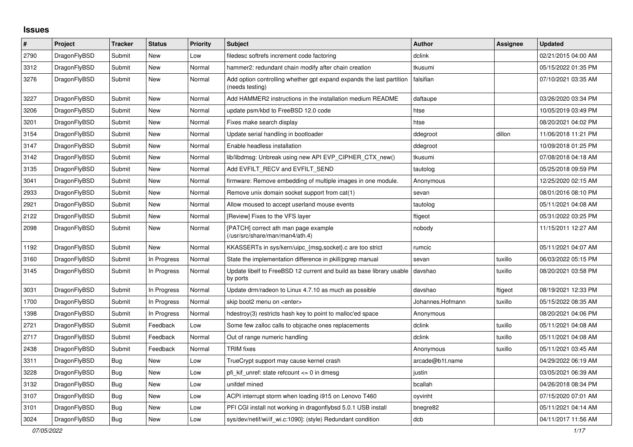## **Issues**

| #    | <b>Project</b> | <b>Tracker</b> | <b>Status</b> | <b>Priority</b> | <b>Subject</b>                                                                          | <b>Author</b>    | <b>Assignee</b> | <b>Updated</b>      |
|------|----------------|----------------|---------------|-----------------|-----------------------------------------------------------------------------------------|------------------|-----------------|---------------------|
| 2790 | DragonFlyBSD   | Submit         | <b>New</b>    | Low             | filedesc softrefs increment code factoring                                              | dclink           |                 | 02/21/2015 04:00 AM |
| 3312 | DragonFlyBSD   | Submit         | <b>New</b>    | Normal          | hammer2: redundant chain modify after chain creation                                    | tkusumi          |                 | 05/15/2022 01:35 PM |
| 3276 | DragonFlyBSD   | Submit         | New           | Normal          | Add option controlling whether gpt expand expands the last partition<br>(needs testing) | falsifian        |                 | 07/10/2021 03:35 AM |
| 3227 | DragonFlyBSD   | Submit         | <b>New</b>    | Normal          | Add HAMMER2 instructions in the installation medium README                              | daftaupe         |                 | 03/26/2020 03:34 PM |
| 3206 | DragonFlyBSD   | Submit         | New           | Normal          | update psm/kbd to FreeBSD 12.0 code                                                     | htse             |                 | 10/05/2019 03:49 PM |
| 3201 | DragonFlyBSD   | Submit         | New           | Normal          | Fixes make search display                                                               | htse             |                 | 08/20/2021 04:02 PM |
| 3154 | DragonFlyBSD   | Submit         | <b>New</b>    | Normal          | Update serial handling in bootloader                                                    | ddegroot         | dillon          | 11/06/2018 11:21 PM |
| 3147 | DragonFlyBSD   | Submit         | New           | Normal          | Enable headless installation                                                            | ddegroot         |                 | 10/09/2018 01:25 PM |
| 3142 | DragonFlyBSD   | Submit         | New           | Normal          | lib/libdmsg: Unbreak using new API EVP CIPHER CTX new()                                 | tkusumi          |                 | 07/08/2018 04:18 AM |
| 3135 | DragonFlyBSD   | Submit         | <b>New</b>    | Normal          | Add EVFILT_RECV and EVFILT_SEND                                                         | tautolog         |                 | 05/25/2018 09:59 PM |
| 3041 | DragonFlyBSD   | Submit         | <b>New</b>    | Normal          | firmware: Remove embedding of multiple images in one module.                            | Anonymous        |                 | 12/25/2020 02:15 AM |
| 2933 | DragonFlyBSD   | Submit         | <b>New</b>    | Normal          | Remove unix domain socket support from cat(1)                                           | sevan            |                 | 08/01/2016 08:10 PM |
| 2921 | DragonFlyBSD   | Submit         | New           | Normal          | Allow moused to accept userland mouse events                                            | tautolog         |                 | 05/11/2021 04:08 AM |
| 2122 | DragonFlyBSD   | Submit         | New           | Normal          | [Review] Fixes to the VFS layer                                                         | ftigeot          |                 | 05/31/2022 03:25 PM |
| 2098 | DragonFlyBSD   | Submit         | <b>New</b>    | Normal          | [PATCH] correct ath man page example<br>(/usr/src/share/man/man4/ath.4)                 | nobody           |                 | 11/15/2011 12:27 AM |
| 1192 | DragonFlyBSD   | Submit         | <b>New</b>    | Normal          | KKASSERTs in sys/kern/uipc_{msg,socket}.c are too strict                                | rumcic           |                 | 05/11/2021 04:07 AM |
| 3160 | DragonFlyBSD   | Submit         | In Progress   | Normal          | State the implementation difference in pkill/pgrep manual                               | sevan            | tuxillo         | 06/03/2022 05:15 PM |
| 3145 | DragonFlyBSD   | Submit         | In Progress   | Normal          | Update libelf to FreeBSD 12 current and build as base library usable<br>by ports        | davshao          | tuxillo         | 08/20/2021 03:58 PM |
| 3031 | DragonFlyBSD   | Submit         | In Progress   | Normal          | Update drm/radeon to Linux 4.7.10 as much as possible                                   | davshao          | ftigeot         | 08/19/2021 12:33 PM |
| 1700 | DragonFlyBSD   | Submit         | In Progress   | Normal          | skip boot2 menu on <enter></enter>                                                      | Johannes.Hofmann | tuxillo         | 05/15/2022 08:35 AM |
| 1398 | DragonFlyBSD   | Submit         | In Progress   | Normal          | hdestroy(3) restricts hash key to point to malloc'ed space                              | Anonymous        |                 | 08/20/2021 04:06 PM |
| 2721 | DragonFlyBSD   | Submit         | Feedback      | Low             | Some few zalloc calls to objcache ones replacements                                     | dclink           | tuxillo         | 05/11/2021 04:08 AM |
| 2717 | DragonFlyBSD   | Submit         | Feedback      | Normal          | Out of range numeric handling                                                           | dclink           | tuxillo         | 05/11/2021 04:08 AM |
| 2438 | DragonFlyBSD   | Submit         | Feedback      | Normal          | <b>TRIM</b> fixes                                                                       | Anonymous        | tuxillo         | 05/11/2021 03:45 AM |
| 3311 | DragonFlyBSD   | <b>Bug</b>     | New           | Low             | TrueCrypt support may cause kernel crash                                                | arcade@b1t.name  |                 | 04/29/2022 06:19 AM |
| 3228 | DragonFlyBSD   | <b>Bug</b>     | <b>New</b>    | Low             | pfi_kif_unref: state refcount <= 0 in dmesg                                             | justin           |                 | 03/05/2021 06:39 AM |
| 3132 | DragonFlyBSD   | Bug            | New           | Low             | unifdef mined                                                                           | bcallah          |                 | 04/26/2018 08:34 PM |
| 3107 | DragonFlyBSD   | Bug            | New           | Low             | ACPI interrupt storm when loading i915 on Lenovo T460                                   | oyvinht          |                 | 07/15/2020 07:01 AM |
| 3101 | DragonFlyBSD   | <b>Bug</b>     | <b>New</b>    | Low             | PFI CGI install not working in dragonflybsd 5.0.1 USB install                           | bnegre82         |                 | 05/11/2021 04:14 AM |
| 3024 | DragonFlyBSD   | <b>Bug</b>     | <b>New</b>    | Low             | sys/dev/netif/wi/if wi.c:1090]: (style) Redundant condition                             | dcb              |                 | 04/11/2017 11:56 AM |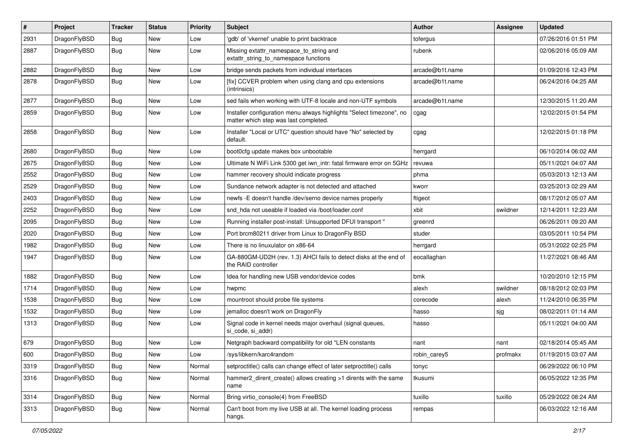| #    | Project      | <b>Tracker</b> | <b>Status</b> | <b>Priority</b> | Subject                                                                                                       | <b>Author</b>   | <b>Assignee</b> | <b>Updated</b>      |
|------|--------------|----------------|---------------|-----------------|---------------------------------------------------------------------------------------------------------------|-----------------|-----------------|---------------------|
| 2931 | DragonFlyBSD | Bug            | <b>New</b>    | Low             | 'gdb' of 'vkernel' unable to print backtrace                                                                  | tofergus        |                 | 07/26/2016 01:51 PM |
| 2887 | DragonFlyBSD | Bug            | New           | Low             | Missing extattr_namespace_to_string and<br>extattr_string_to_namespace functions                              | rubenk          |                 | 02/06/2016 05:09 AM |
| 2882 | DragonFlyBSD | Bug            | <b>New</b>    | Low             | bridge sends packets from individual interfaces                                                               | arcade@b1t.name |                 | 01/09/2016 12:43 PM |
| 2878 | DragonFlyBSD | <b>Bug</b>     | New           | Low             | [fix] CCVER problem when using clang and cpu extensions<br>(intrinsics)                                       | arcade@b1t.name |                 | 06/24/2016 04:25 AM |
| 2877 | DragonFlyBSD | <b>Bug</b>     | <b>New</b>    | Low             | sed fails when working with UTF-8 locale and non-UTF symbols                                                  | arcade@b1t.name |                 | 12/30/2015 11:20 AM |
| 2859 | DragonFlyBSD | Bug            | New           | Low             | Installer configuration menu always highlights "Select timezone", no<br>matter which step was last completed. | cgag            |                 | 12/02/2015 01:54 PM |
| 2858 | DragonFlyBSD | Bug            | New           | Low             | Installer "Local or UTC" question should have "No" selected by<br>default.                                    | cgag            |                 | 12/02/2015 01:18 PM |
| 2680 | DragonFlyBSD | Bug            | <b>New</b>    | Low             | boot0cfg update makes box unbootable                                                                          | herrgard        |                 | 06/10/2014 06:02 AM |
| 2675 | DragonFlyBSD | <b>Bug</b>     | <b>New</b>    | Low             | Ultimate N WiFi Link 5300 get iwn_intr: fatal firmware error on 5GHz                                          | revuwa          |                 | 05/11/2021 04:07 AM |
| 2552 | DragonFlyBSD | <b>Bug</b>     | <b>New</b>    | Low             | hammer recovery should indicate progress                                                                      | phma            |                 | 05/03/2013 12:13 AM |
| 2529 | DragonFlyBSD | Bug            | <b>New</b>    | Low             | Sundance network adapter is not detected and attached                                                         | kworr           |                 | 03/25/2013 02:29 AM |
| 2403 | DragonFlyBSD | <b>Bug</b>     | <b>New</b>    | Low             | newfs -E doesn't handle /dev/serno device names properly                                                      | ftigeot         |                 | 08/17/2012 05:07 AM |
| 2252 | DragonFlyBSD | Bug            | <b>New</b>    | Low             | snd_hda not useable if loaded via /boot/loader.conf                                                           | xbit            | swildner        | 12/14/2011 12:23 AM |
| 2095 | DragonFlyBSD | Bug            | <b>New</b>    | Low             | Running installer post-install: Unsupported DFUI transport "                                                  | greenrd         |                 | 06/26/2011 09:20 AM |
| 2020 | DragonFlyBSD | <b>Bug</b>     | <b>New</b>    | Low             | Port brcm80211 driver from Linux to DragonFly BSD                                                             | studer          |                 | 03/05/2011 10:54 PM |
| 1982 | DragonFlyBSD | Bug            | <b>New</b>    | Low             | There is no linuxulator on x86-64                                                                             | herrgard        |                 | 05/31/2022 02:25 PM |
| 1947 | DragonFlyBSD | Bug            | New           | Low             | GA-880GM-UD2H (rev. 1.3) AHCI fails to detect disks at the end of<br>the RAID controller                      | eocallaghan     |                 | 11/27/2021 08:46 AM |
| 1882 | DragonFlyBSD | Bug            | <b>New</b>    | Low             | Idea for handling new USB vendor/device codes                                                                 | bmk             |                 | 10/20/2010 12:15 PM |
| 1714 | DragonFlyBSD | <b>Bug</b>     | <b>New</b>    | Low             | hwpmc                                                                                                         | alexh           | swildner        | 08/18/2012 02:03 PM |
| 1538 | DragonFlyBSD | Bug            | <b>New</b>    | Low             | mountroot should probe file systems                                                                           | corecode        | alexh           | 11/24/2010 06:35 PM |
| 1532 | DragonFlyBSD | Bug            | <b>New</b>    | Low             | jemalloc doesn't work on DragonFly                                                                            | hasso           | sjg             | 08/02/2011 01:14 AM |
| 1313 | DragonFlyBSD | <b>Bug</b>     | New           | Low             | Signal code in kernel needs major overhaul (signal queues,<br>si code, si addr)                               | hasso           |                 | 05/11/2021 04:00 AM |
| 679  | DragonFlyBSD | Bug            | <b>New</b>    | Low             | Netgraph backward compatibility for old *LEN constants                                                        | nant            | nant            | 02/18/2014 05:45 AM |
| 600  | DragonFlyBSD | <b>Bug</b>     | <b>New</b>    | Low             | /sys/libkern/karc4random                                                                                      | robin carey5    | profmakx        | 01/19/2015 03:07 AM |
| 3319 | DragonFlyBSD | <b>Bug</b>     | New           | Normal          | setproctitle() calls can change effect of later setproctitle() calls                                          | tonyc           |                 | 06/29/2022 06:10 PM |
| 3316 | DragonFlyBSD | <b>Bug</b>     | New           | Normal          | hammer2_dirent_create() allows creating >1 dirents with the same<br>name                                      | tkusumi         |                 | 06/05/2022 12:35 PM |
| 3314 | DragonFlyBSD | <b>Bug</b>     | New           | Normal          | Bring virtio_console(4) from FreeBSD                                                                          | tuxillo         | tuxillo         | 05/29/2022 08:24 AM |
| 3313 | DragonFlyBSD | <b>Bug</b>     | New           | Normal          | Can't boot from my live USB at all. The kernel loading process<br>hangs.                                      | rempas          |                 | 06/03/2022 12:16 AM |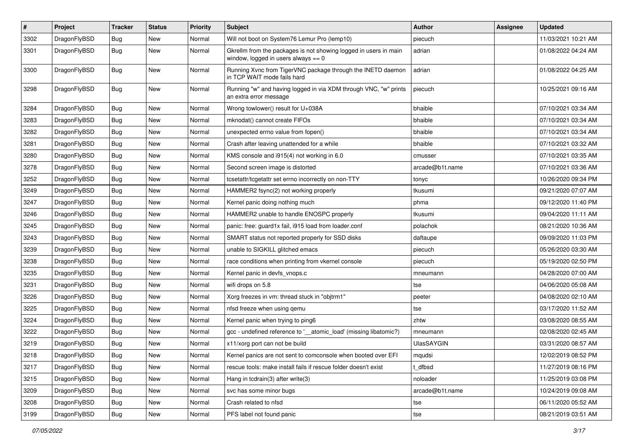| #    | Project      | <b>Tracker</b> | <b>Status</b> | <b>Priority</b> | Subject                                                                                                   | <b>Author</b>     | <b>Assignee</b> | <b>Updated</b>      |
|------|--------------|----------------|---------------|-----------------|-----------------------------------------------------------------------------------------------------------|-------------------|-----------------|---------------------|
| 3302 | DragonFlyBSD | Bug            | <b>New</b>    | Normal          | Will not boot on System76 Lemur Pro (lemp10)                                                              | piecuch           |                 | 11/03/2021 10:21 AM |
| 3301 | DragonFlyBSD | <b>Bug</b>     | <b>New</b>    | Normal          | Gkrellm from the packages is not showing logged in users in main<br>window, logged in users always $== 0$ | adrian            |                 | 01/08/2022 04:24 AM |
| 3300 | DragonFlyBSD | Bug            | <b>New</b>    | Normal          | Running Xvnc from TigerVNC package through the INETD daemon<br>in TCP WAIT mode fails hard                | adrian            |                 | 01/08/2022 04:25 AM |
| 3298 | DragonFlyBSD | <b>Bug</b>     | New           | Normal          | Running "w" and having logged in via XDM through VNC, "w" prints<br>an extra error message                | piecuch           |                 | 10/25/2021 09:16 AM |
| 3284 | DragonFlyBSD | Bug            | New           | Normal          | Wrong towlower() result for U+038A                                                                        | bhaible           |                 | 07/10/2021 03:34 AM |
| 3283 | DragonFlyBSD | Bug            | New           | Normal          | mknodat() cannot create FIFOs                                                                             | bhaible           |                 | 07/10/2021 03:34 AM |
| 3282 | DragonFlyBSD | Bug            | New           | Normal          | unexpected errno value from fopen()                                                                       | bhaible           |                 | 07/10/2021 03:34 AM |
| 3281 | DragonFlyBSD | <b>Bug</b>     | New           | Normal          | Crash after leaving unattended for a while                                                                | bhaible           |                 | 07/10/2021 03:32 AM |
| 3280 | DragonFlyBSD | Bug            | <b>New</b>    | Normal          | KMS console and i915(4) not working in 6.0                                                                | cmusser           |                 | 07/10/2021 03:35 AM |
| 3278 | DragonFlyBSD | Bug            | <b>New</b>    | Normal          | Second screen image is distorted                                                                          | arcade@b1t.name   |                 | 07/10/2021 03:36 AM |
| 3252 | DragonFlyBSD | Bug            | <b>New</b>    | Normal          | tcsetattr/tcgetattr set errno incorrectly on non-TTY                                                      | tonyc             |                 | 10/26/2020 09:34 PM |
| 3249 | DragonFlyBSD | Bug            | New           | Normal          | HAMMER2 fsync(2) not working properly                                                                     | tkusumi           |                 | 09/21/2020 07:07 AM |
| 3247 | DragonFlyBSD | Bug            | <b>New</b>    | Normal          | Kernel panic doing nothing much                                                                           | phma              |                 | 09/12/2020 11:40 PM |
| 3246 | DragonFlyBSD | Bug            | New           | Normal          | HAMMER2 unable to handle ENOSPC properly                                                                  | tkusumi           |                 | 09/04/2020 11:11 AM |
| 3245 | DragonFlyBSD | Bug            | New           | Normal          | panic: free: guard1x fail, i915 load from loader.conf                                                     | polachok          |                 | 08/21/2020 10:36 AM |
| 3243 | DragonFlyBSD | Bug            | New           | Normal          | SMART status not reported properly for SSD disks                                                          | daftaupe          |                 | 09/09/2020 11:03 PM |
| 3239 | DragonFlyBSD | Bug            | New           | Normal          | unable to SIGKILL glitched emacs                                                                          | piecuch           |                 | 05/26/2020 03:30 AM |
| 3238 | DragonFlyBSD | Bug            | <b>New</b>    | Normal          | race conditions when printing from vkernel console                                                        | piecuch           |                 | 05/19/2020 02:50 PM |
| 3235 | DragonFlyBSD | Bug            | New           | Normal          | Kernel panic in devfs_vnops.c                                                                             | mneumann          |                 | 04/28/2020 07:00 AM |
| 3231 | DragonFlyBSD | Bug            | New           | Normal          | wifi drops on 5.8                                                                                         | tse               |                 | 04/06/2020 05:08 AM |
| 3226 | DragonFlyBSD | Bug            | New           | Normal          | Xorg freezes in vm: thread stuck in "objtrm1"                                                             | peeter            |                 | 04/08/2020 02:10 AM |
| 3225 | DragonFlyBSD | Bug            | New           | Normal          | nfsd freeze when using gemu                                                                               | tse               |                 | 03/17/2020 11:52 AM |
| 3224 | DragonFlyBSD | Bug            | New           | Normal          | Kernel panic when trying to ping6                                                                         | zhtw              |                 | 03/08/2020 08:55 AM |
| 3222 | DragonFlyBSD | Bug            | <b>New</b>    | Normal          | gcc - undefined reference to '_atomic_load' (missing libatomic?)                                          | mneumann          |                 | 02/08/2020 02:45 AM |
| 3219 | DragonFlyBSD | Bug            | New           | Normal          | x11/xorg port can not be build                                                                            | <b>UlasSAYGIN</b> |                 | 03/31/2020 08:57 AM |
| 3218 | DragonFlyBSD | Bug            | New           | Normal          | Kernel panics are not sent to comconsole when booted over EFI                                             | mqudsi            |                 | 12/02/2019 08:52 PM |
| 3217 | DragonFlyBSD | Bug            | New           | Normal          | rescue tools: make install fails if rescue folder doesn't exist                                           | t dfbsd           |                 | 11/27/2019 08:16 PM |
| 3215 | DragonFlyBSD | Bug            | <b>New</b>    | Normal          | Hang in tcdrain(3) after write(3)                                                                         | noloader          |                 | 11/25/2019 03:08 PM |
| 3209 | DragonFlyBSD | <b>Bug</b>     | <b>New</b>    | Normal          | svc has some minor bugs                                                                                   | arcade@b1t.name   |                 | 10/24/2019 09:08 AM |
| 3208 | DragonFlyBSD | <b>Bug</b>     | New           | Normal          | Crash related to nfsd                                                                                     | tse               |                 | 06/11/2020 05:52 AM |
| 3199 | DragonFlyBSD | <b>Bug</b>     | New           | Normal          | PFS label not found panic                                                                                 | tse               |                 | 08/21/2019 03:51 AM |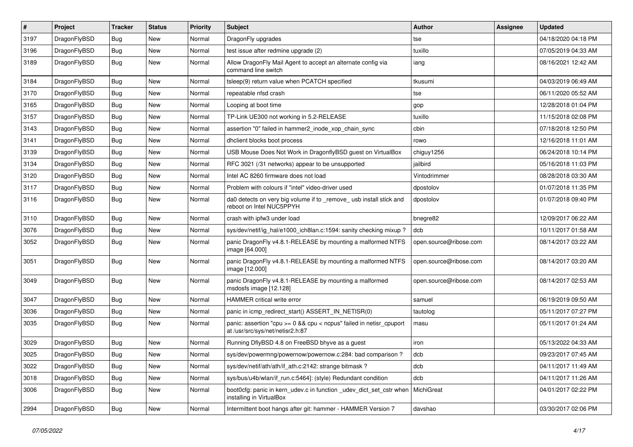| $\pmb{\#}$ | Project      | <b>Tracker</b> | <b>Status</b> | <b>Priority</b> | Subject                                                                                                   | <b>Author</b>          | <b>Assignee</b> | <b>Updated</b>      |
|------------|--------------|----------------|---------------|-----------------|-----------------------------------------------------------------------------------------------------------|------------------------|-----------------|---------------------|
| 3197       | DragonFlyBSD | Bug            | <b>New</b>    | Normal          | DragonFly upgrades                                                                                        | tse                    |                 | 04/18/2020 04:18 PM |
| 3196       | DragonFlyBSD | Bug            | <b>New</b>    | Normal          | test issue after redmine upgrade (2)                                                                      | tuxillo                |                 | 07/05/2019 04:33 AM |
| 3189       | DragonFlyBSD | Bug            | New           | Normal          | Allow DragonFly Mail Agent to accept an alternate config via<br>command line switch                       | iang                   |                 | 08/16/2021 12:42 AM |
| 3184       | DragonFlyBSD | <b>Bug</b>     | <b>New</b>    | Normal          | tsleep(9) return value when PCATCH specified                                                              | tkusumi                |                 | 04/03/2019 06:49 AM |
| 3170       | DragonFlyBSD | Bug            | <b>New</b>    | Normal          | repeatable nfsd crash                                                                                     | tse                    |                 | 06/11/2020 05:52 AM |
| 3165       | DragonFlyBSD | Bug            | <b>New</b>    | Normal          | Looping at boot time                                                                                      | gop                    |                 | 12/28/2018 01:04 PM |
| 3157       | DragonFlyBSD | Bug            | New           | Normal          | TP-Link UE300 not working in 5.2-RELEASE                                                                  | tuxillo                |                 | 11/15/2018 02:08 PM |
| 3143       | DragonFlyBSD | Bug            | <b>New</b>    | Normal          | assertion "0" failed in hammer2 inode xop chain sync                                                      | cbin                   |                 | 07/18/2018 12:50 PM |
| 3141       | DragonFlyBSD | Bug            | <b>New</b>    | Normal          | dhclient blocks boot process                                                                              | rowo                   |                 | 12/16/2018 11:01 AM |
| 3139       | DragonFlyBSD | Bug            | New           | Normal          | USB Mouse Does Not Work in DragonflyBSD guest on VirtualBox                                               | chiguy1256             |                 | 06/24/2018 10:14 PM |
| 3134       | DragonFlyBSD | Bug            | <b>New</b>    | Normal          | RFC 3021 (/31 networks) appear to be unsupported                                                          | jailbird               |                 | 05/16/2018 11:03 PM |
| 3120       | DragonFlyBSD | Bug            | <b>New</b>    | Normal          | Intel AC 8260 firmware does not load                                                                      | Vintodrimmer           |                 | 08/28/2018 03:30 AM |
| 3117       | DragonFlyBSD | Bug            | <b>New</b>    | Normal          | Problem with colours if "intel" video-driver used                                                         | dpostolov              |                 | 01/07/2018 11:35 PM |
| 3116       | DragonFlyBSD | Bug            | New           | Normal          | da0 detects on very big volume if to _remove_ usb install stick and<br>reboot on Intel NUC5PPYH           | dpostolov              |                 | 01/07/2018 09:40 PM |
| 3110       | DragonFlyBSD | Bug            | <b>New</b>    | Normal          | crash with ipfw3 under load                                                                               | bnegre82               |                 | 12/09/2017 06:22 AM |
| 3076       | DragonFlyBSD | Bug            | New           | Normal          | sys/dev/netif/ig hal/e1000 ich8lan.c:1594: sanity checking mixup?                                         | dcb                    |                 | 10/11/2017 01:58 AM |
| 3052       | DragonFlyBSD | Bug            | New           | Normal          | panic DragonFly v4.8.1-RELEASE by mounting a malformed NTFS<br>image [64.000]                             | open.source@ribose.com |                 | 08/14/2017 03:22 AM |
| 3051       | DragonFlyBSD | Bug            | New           | Normal          | panic DragonFly v4.8.1-RELEASE by mounting a malformed NTFS<br>image [12.000]                             | open.source@ribose.com |                 | 08/14/2017 03:20 AM |
| 3049       | DragonFlyBSD | Bug            | New           | Normal          | panic DragonFly v4.8.1-RELEASE by mounting a malformed<br>msdosfs image [12.128]                          | open.source@ribose.com |                 | 08/14/2017 02:53 AM |
| 3047       | DragonFlyBSD | <b>Bug</b>     | <b>New</b>    | Normal          | <b>HAMMER</b> critical write error                                                                        | samuel                 |                 | 06/19/2019 09:50 AM |
| 3036       | DragonFlyBSD | <b>Bug</b>     | New           | Normal          | panic in icmp_redirect_start() ASSERT_IN_NETISR(0)                                                        | tautolog               |                 | 05/11/2017 07:27 PM |
| 3035       | DragonFlyBSD | Bug            | New           | Normal          | panic: assertion "cpu $>= 0$ && cpu < ncpus" failed in netisr cpuport<br>at /usr/src/sys/net/netisr2.h:87 | masu                   |                 | 05/11/2017 01:24 AM |
| 3029       | DragonFlyBSD | <b>Bug</b>     | <b>New</b>    | Normal          | Running DflyBSD 4.8 on FreeBSD bhyve as a guest                                                           | iron                   |                 | 05/13/2022 04:33 AM |
| 3025       | DragonFlyBSD | Bug            | <b>New</b>    | Normal          | sys/dev/powermng/powernow/powernow.c:284: bad comparison?                                                 | dcb                    |                 | 09/23/2017 07:45 AM |
| 3022       | DragonFlyBSD | <b>Bug</b>     | New           | Normal          | sys/dev/netif/ath/ath/if_ath.c:2142: strange bitmask?                                                     | dcb                    |                 | 04/11/2017 11:49 AM |
| 3018       | DragonFlyBSD | <b>Bug</b>     | New           | Normal          | sys/bus/u4b/wlan/if_run.c:5464]: (style) Redundant condition                                              | dcb                    |                 | 04/11/2017 11:26 AM |
| 3006       | DragonFlyBSD | <b>Bug</b>     | New           | Normal          | boot0cfg: panic in kern_udev.c in function _udev_dict_set_cstr when<br>installing in VirtualBox           | MichiGreat             |                 | 04/01/2017 02:22 PM |
| 2994       | DragonFlyBSD | <b>Bug</b>     | New           | Normal          | Intermittent boot hangs after git: hammer - HAMMER Version 7                                              | davshao                |                 | 03/30/2017 02:06 PM |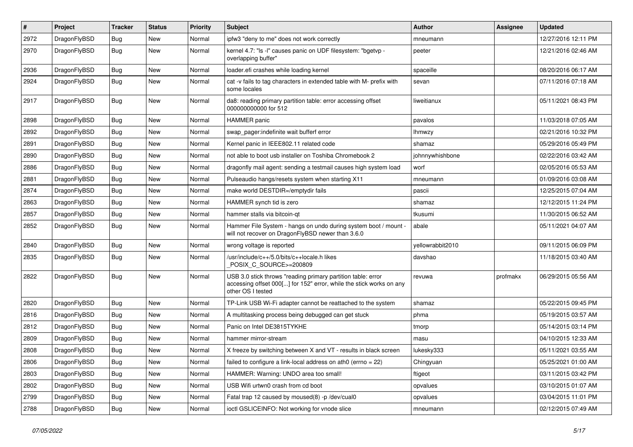| #    | Project      | <b>Tracker</b> | <b>Status</b> | <b>Priority</b> | Subject                                                                                                                                                  | <b>Author</b>    | <b>Assignee</b> | <b>Updated</b>      |
|------|--------------|----------------|---------------|-----------------|----------------------------------------------------------------------------------------------------------------------------------------------------------|------------------|-----------------|---------------------|
| 2972 | DragonFlyBSD | Bug            | <b>New</b>    | Normal          | ipfw3 "deny to me" does not work correctly                                                                                                               | mneumann         |                 | 12/27/2016 12:11 PM |
| 2970 | DragonFlyBSD | <b>Bug</b>     | New           | Normal          | kernel 4.7: "Is -l" causes panic on UDF filesystem: "bgetvp -<br>overlapping buffer"                                                                     | peeter           |                 | 12/21/2016 02:46 AM |
| 2936 | DragonFlyBSD | Bug            | <b>New</b>    | Normal          | loader.efi crashes while loading kernel                                                                                                                  | spaceille        |                 | 08/20/2016 06:17 AM |
| 2924 | DragonFlyBSD | Bug            | New           | Normal          | cat -v fails to tag characters in extended table with M- prefix with<br>some locales                                                                     | sevan            |                 | 07/11/2016 07:18 AM |
| 2917 | DragonFlyBSD | Bug            | New           | Normal          | da8: reading primary partition table: error accessing offset<br>000000000000 for 512                                                                     | liweitianux      |                 | 05/11/2021 08:43 PM |
| 2898 | DragonFlyBSD | Bug            | <b>New</b>    | Normal          | <b>HAMMER</b> panic                                                                                                                                      | pavalos          |                 | 11/03/2018 07:05 AM |
| 2892 | DragonFlyBSD | Bug            | New           | Normal          | swap_pager:indefinite wait bufferf error                                                                                                                 | <b>Ihmwzy</b>    |                 | 02/21/2016 10:32 PM |
| 2891 | DragonFlyBSD | <b>Bug</b>     | New           | Normal          | Kernel panic in IEEE802.11 related code                                                                                                                  | shamaz           |                 | 05/29/2016 05:49 PM |
| 2890 | DragonFlyBSD | Bug            | <b>New</b>    | Normal          | not able to boot usb installer on Toshiba Chromebook 2                                                                                                   | johnnywhishbone  |                 | 02/22/2016 03:42 AM |
| 2886 | DragonFlyBSD | Bug            | <b>New</b>    | Normal          | dragonfly mail agent: sending a testmail causes high system load                                                                                         | worf             |                 | 02/05/2016 05:53 AM |
| 2881 | DragonFlyBSD | Bug            | <b>New</b>    | Normal          | Pulseaudio hangs/resets system when starting X11                                                                                                         | mneumann         |                 | 01/09/2016 03:08 AM |
| 2874 | DragonFlyBSD | Bug            | New           | Normal          | make world DESTDIR=/emptydir fails                                                                                                                       | pascii           |                 | 12/25/2015 07:04 AM |
| 2863 | DragonFlyBSD | Bug            | <b>New</b>    | Normal          | HAMMER synch tid is zero                                                                                                                                 | shamaz           |                 | 12/12/2015 11:24 PM |
| 2857 | DragonFlyBSD | Bug            | New           | Normal          | hammer stalls via bitcoin-gt                                                                                                                             | tkusumi          |                 | 11/30/2015 06:52 AM |
| 2852 | DragonFlyBSD | <b>Bug</b>     | New           | Normal          | Hammer File System - hangs on undo during system boot / mount -<br>will not recover on DragonFlyBSD newer than 3.6.0                                     | abale            |                 | 05/11/2021 04:07 AM |
| 2840 | DragonFlyBSD | Bug            | New           | Normal          | wrong voltage is reported                                                                                                                                | yellowrabbit2010 |                 | 09/11/2015 06:09 PM |
| 2835 | DragonFlyBSD | Bug            | <b>New</b>    | Normal          | /usr/include/c++/5.0/bits/c++locale.h likes<br>POSIX_C_SOURCE>=200809                                                                                    | davshao          |                 | 11/18/2015 03:40 AM |
| 2822 | DragonFlyBSD | Bug            | New           | Normal          | USB 3.0 stick throws "reading primary partition table: error<br>accessing offset 000[] for 152" error, while the stick works on any<br>other OS I tested | revuwa           | profmakx        | 06/29/2015 05:56 AM |
| 2820 | DragonFlyBSD | <b>Bug</b>     | <b>New</b>    | Normal          | TP-Link USB Wi-Fi adapter cannot be reattached to the system                                                                                             | shamaz           |                 | 05/22/2015 09:45 PM |
| 2816 | DragonFlyBSD | <b>Bug</b>     | <b>New</b>    | Normal          | A multitasking process being debugged can get stuck                                                                                                      | phma             |                 | 05/19/2015 03:57 AM |
| 2812 | DragonFlyBSD | <b>Bug</b>     | New           | Normal          | Panic on Intel DE3815TYKHE                                                                                                                               | tmorp            |                 | 05/14/2015 03:14 PM |
| 2809 | DragonFlyBSD | Bug            | New           | Normal          | hammer mirror-stream                                                                                                                                     | masu             |                 | 04/10/2015 12:33 AM |
| 2808 | DragonFlyBSD | Bug            | <b>New</b>    | Normal          | X freeze by switching between X and VT - results in black screen                                                                                         | lukesky333       |                 | 05/11/2021 03:55 AM |
| 2806 | DragonFlyBSD | <b>Bug</b>     | <b>New</b>    | Normal          | failed to configure a link-local address on ath0 (errno = 22)                                                                                            | Chingyuan        |                 | 05/25/2021 01:00 AM |
| 2803 | DragonFlyBSD | <b>Bug</b>     | New           | Normal          | HAMMER: Warning: UNDO area too small!                                                                                                                    | ftigeot          |                 | 03/11/2015 03:42 PM |
| 2802 | DragonFlyBSD | <b>Bug</b>     | <b>New</b>    | Normal          | USB Wifi urtwn0 crash from cd boot                                                                                                                       | opvalues         |                 | 03/10/2015 01:07 AM |
| 2799 | DragonFlyBSD | <b>Bug</b>     | <b>New</b>    | Normal          | Fatal trap 12 caused by moused(8) -p /dev/cual0                                                                                                          | opvalues         |                 | 03/04/2015 11:01 PM |
| 2788 | DragonFlyBSD | <b>Bug</b>     | New           | Normal          | ioctl GSLICEINFO: Not working for vnode slice                                                                                                            | mneumann         |                 | 02/12/2015 07:49 AM |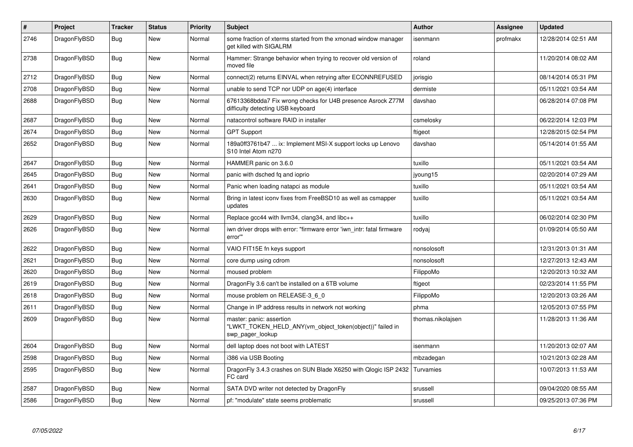| $\vert$ # | Project      | <b>Tracker</b> | <b>Status</b> | <b>Priority</b> | <b>Subject</b>                                                                                           | <b>Author</b>     | Assignee | <b>Updated</b>      |
|-----------|--------------|----------------|---------------|-----------------|----------------------------------------------------------------------------------------------------------|-------------------|----------|---------------------|
| 2746      | DragonFlyBSD | <b>Bug</b>     | <b>New</b>    | Normal          | some fraction of xterms started from the xmonad window manager<br>get killed with SIGALRM                | isenmann          | profmakx | 12/28/2014 02:51 AM |
| 2738      | DragonFlyBSD | Bug            | <b>New</b>    | Normal          | Hammer: Strange behavior when trying to recover old version of<br>moved file                             | roland            |          | 11/20/2014 08:02 AM |
| 2712      | DragonFlyBSD | Bug            | <b>New</b>    | Normal          | connect(2) returns EINVAL when retrying after ECONNREFUSED                                               | jorisgio          |          | 08/14/2014 05:31 PM |
| 2708      | DragonFlyBSD | Bug            | <b>New</b>    | Normal          | unable to send TCP nor UDP on age(4) interface                                                           | dermiste          |          | 05/11/2021 03:54 AM |
| 2688      | DragonFlyBSD | Bug            | New           | Normal          | 67613368bdda7 Fix wrong checks for U4B presence Asrock Z77M<br>difficulty detecting USB keyboard         | davshao           |          | 06/28/2014 07:08 PM |
| 2687      | DragonFlyBSD | Bug            | New           | Normal          | natacontrol software RAID in installer                                                                   | csmelosky         |          | 06/22/2014 12:03 PM |
| 2674      | DragonFlyBSD | <b>Bug</b>     | <b>New</b>    | Normal          | <b>GPT Support</b>                                                                                       | ftigeot           |          | 12/28/2015 02:54 PM |
| 2652      | DragonFlyBSD | Bug            | New           | Normal          | 189a0ff3761b47  ix: Implement MSI-X support locks up Lenovo<br>S10 Intel Atom n270                       | davshao           |          | 05/14/2014 01:55 AM |
| 2647      | DragonFlyBSD | Bug            | <b>New</b>    | Normal          | HAMMER panic on 3.6.0                                                                                    | tuxillo           |          | 05/11/2021 03:54 AM |
| 2645      | DragonFlyBSD | <b>Bug</b>     | <b>New</b>    | Normal          | panic with dsched fq and ioprio                                                                          | jyoung15          |          | 02/20/2014 07:29 AM |
| 2641      | DragonFlyBSD | <b>Bug</b>     | <b>New</b>    | Normal          | Panic when loading natapci as module                                                                     | tuxillo           |          | 05/11/2021 03:54 AM |
| 2630      | DragonFlyBSD | Bug            | New           | Normal          | Bring in latest iconv fixes from FreeBSD10 as well as csmapper<br>updates                                | tuxillo           |          | 05/11/2021 03:54 AM |
| 2629      | DragonFlyBSD | Bug            | <b>New</b>    | Normal          | Replace gcc44 with llvm34, clang34, and libc++                                                           | tuxillo           |          | 06/02/2014 02:30 PM |
| 2626      | DragonFlyBSD | <b>Bug</b>     | <b>New</b>    | Normal          | iwn driver drops with error: "firmware error 'iwn_intr: fatal firmware<br>error""                        | rodyaj            |          | 01/09/2014 05:50 AM |
| 2622      | DragonFlyBSD | <b>Bug</b>     | <b>New</b>    | Normal          | VAIO FIT15E fn keys support                                                                              | nonsolosoft       |          | 12/31/2013 01:31 AM |
| 2621      | DragonFlyBSD | Bug            | New           | Normal          | core dump using cdrom                                                                                    | nonsolosoft       |          | 12/27/2013 12:43 AM |
| 2620      | DragonFlyBSD | <b>Bug</b>     | <b>New</b>    | Normal          | moused problem                                                                                           | FilippoMo         |          | 12/20/2013 10:32 AM |
| 2619      | DragonFlyBSD | <b>Bug</b>     | <b>New</b>    | Normal          | DragonFly 3.6 can't be installed on a 6TB volume                                                         | ftigeot           |          | 02/23/2014 11:55 PM |
| 2618      | DragonFlyBSD | <b>Bug</b>     | <b>New</b>    | Normal          | mouse problem on RELEASE-3 6 0                                                                           | FilippoMo         |          | 12/20/2013 03:26 AM |
| 2611      | DragonFlyBSD | <b>Bug</b>     | <b>New</b>    | Normal          | Change in IP address results in network not working                                                      | phma              |          | 12/05/2013 07:55 PM |
| 2609      | DragonFlyBSD | Bug            | <b>New</b>    | Normal          | master: panic: assertion<br>"LWKT_TOKEN_HELD_ANY(vm_object_token(object))" failed in<br>swp pager lookup | thomas.nikolajsen |          | 11/28/2013 11:36 AM |
| 2604      | DragonFlyBSD | <b>Bug</b>     | <b>New</b>    | Normal          | dell laptop does not boot with LATEST                                                                    | isenmann          |          | 11/20/2013 02:07 AM |
| 2598      | DragonFlyBSD | Bug            | <b>New</b>    | Normal          | i386 via USB Booting                                                                                     | mbzadegan         |          | 10/21/2013 02:28 AM |
| 2595      | DragonFlyBSD | <b>Bug</b>     | <b>New</b>    | Normal          | DragonFly 3.4.3 crashes on SUN Blade X6250 with Qlogic ISP 2432<br>FC card                               | Turvamies         |          | 10/07/2013 11:53 AM |
| 2587      | DragonFlyBSD | Bug            | <b>New</b>    | Normal          | SATA DVD writer not detected by DragonFly                                                                | srussell          |          | 09/04/2020 08:55 AM |
| 2586      | DragonFlyBSD | Bug            | <b>New</b>    | Normal          | pf: "modulate" state seems problematic                                                                   | srussell          |          | 09/25/2013 07:36 PM |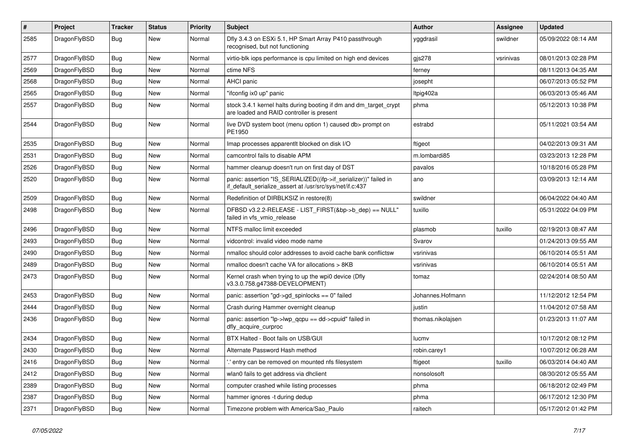| #    | Project      | <b>Tracker</b> | <b>Status</b> | <b>Priority</b> | Subject                                                                                                                      | Author            | Assignee  | <b>Updated</b>      |
|------|--------------|----------------|---------------|-----------------|------------------------------------------------------------------------------------------------------------------------------|-------------------|-----------|---------------------|
| 2585 | DragonFlyBSD | <b>Bug</b>     | New           | Normal          | Dfly 3.4.3 on ESXi 5.1, HP Smart Array P410 passthrough<br>recognised, but not functioning                                   | yggdrasil         | swildner  | 05/09/2022 08:14 AM |
| 2577 | DragonFlyBSD | Bug            | <b>New</b>    | Normal          | virtio-blk iops performance is cpu limited on high end devices                                                               | gis278            | vsrinivas | 08/01/2013 02:28 PM |
| 2569 | DragonFlyBSD | <b>Bug</b>     | <b>New</b>    | Normal          | ctime NFS                                                                                                                    | ferney            |           | 08/11/2013 04:35 AM |
| 2568 | DragonFlyBSD | <b>Bug</b>     | <b>New</b>    | Normal          | AHCI panic                                                                                                                   | josepht           |           | 06/07/2013 05:52 PM |
| 2565 | DragonFlyBSD | <b>Bug</b>     | New           | Normal          | "ifconfig ix0 up" panic                                                                                                      | Itpig402a         |           | 06/03/2013 05:46 AM |
| 2557 | DragonFlyBSD | Bug            | New           | Normal          | stock 3.4.1 kernel halts during booting if dm and dm_target_crypt<br>are loaded and RAID controller is present               | phma              |           | 05/12/2013 10:38 PM |
| 2544 | DragonFlyBSD | <b>Bug</b>     | <b>New</b>    | Normal          | live DVD system boot (menu option 1) caused db> prompt on<br>PE1950                                                          | estrabd           |           | 05/11/2021 03:54 AM |
| 2535 | DragonFlyBSD | Bug            | <b>New</b>    | Normal          | Imap processes apparentlt blocked on disk I/O                                                                                | ftigeot           |           | 04/02/2013 09:31 AM |
| 2531 | DragonFlyBSD | Bug            | <b>New</b>    | Normal          | camcontrol fails to disable APM                                                                                              | m.lombardi85      |           | 03/23/2013 12:28 PM |
| 2526 | DragonFlyBSD | Bug            | <b>New</b>    | Normal          | hammer cleanup doesn't run on first day of DST                                                                               | pavalos           |           | 10/18/2016 05:28 PM |
| 2520 | DragonFlyBSD | Bug            | New           | Normal          | panic: assertion "IS_SERIALIZED((ifp->if_serializer))" failed in<br>if_default_serialize_assert at /usr/src/sys/net/if.c:437 | ano               |           | 03/09/2013 12:14 AM |
| 2509 | DragonFlyBSD | Bug            | <b>New</b>    | Normal          | Redefinition of DIRBLKSIZ in restore(8)                                                                                      | swildner          |           | 06/04/2022 04:40 AM |
| 2498 | DragonFlyBSD | Bug            | <b>New</b>    | Normal          | DFBSD v3.2.2-RELEASE - LIST FIRST(&bp->b dep) == NULL"<br>failed in vfs_vmio_release                                         | tuxillo           |           | 05/31/2022 04:09 PM |
| 2496 | DragonFlyBSD | Bug            | <b>New</b>    | Normal          | NTFS malloc limit exceeded                                                                                                   | plasmob           | tuxillo   | 02/19/2013 08:47 AM |
| 2493 | DragonFlyBSD | <b>Bug</b>     | <b>New</b>    | Normal          | vidcontrol: invalid video mode name                                                                                          | Svarov            |           | 01/24/2013 09:55 AM |
| 2490 | DragonFlyBSD | <b>Bug</b>     | <b>New</b>    | Normal          | nmalloc should color addresses to avoid cache bank conflictsw                                                                | vsrinivas         |           | 06/10/2014 05:51 AM |
| 2489 | DragonFlyBSD | <b>Bug</b>     | New           | Normal          | nmalloc doesn't cache VA for allocations > 8KB                                                                               | vsrinivas         |           | 06/10/2014 05:51 AM |
| 2473 | DragonFlyBSD | <b>Bug</b>     | <b>New</b>    | Normal          | Kernel crash when trying to up the wpi0 device (Dfly<br>v3.3.0.758.g47388-DEVELOPMENT)                                       | tomaz             |           | 02/24/2014 08:50 AM |
| 2453 | DragonFlyBSD | Bug            | <b>New</b>    | Normal          | panic: assertion "gd->gd_spinlocks == 0" failed                                                                              | Johannes.Hofmann  |           | 11/12/2012 12:54 PM |
| 2444 | DragonFlyBSD | <b>Bug</b>     | <b>New</b>    | Normal          | Crash during Hammer overnight cleanup                                                                                        | justin            |           | 11/04/2012 07:58 AM |
| 2436 | DragonFlyBSD | Bug            | <b>New</b>    | Normal          | panic: assertion "lp->lwp_qcpu == dd->cpuid" failed in<br>dfly_acquire_curproc                                               | thomas.nikolaisen |           | 01/23/2013 11:07 AM |
| 2434 | DragonFlyBSD | Bug            | <b>New</b>    | Normal          | BTX Halted - Boot fails on USB/GUI                                                                                           | lucmv             |           | 10/17/2012 08:12 PM |
| 2430 | DragonFlyBSD | <b>Bug</b>     | New           | Normal          | Alternate Password Hash method                                                                                               | robin.carey1      |           | 10/07/2012 06:28 AM |
| 2416 | DragonFlyBSD | Bug            | <b>New</b>    | Normal          | ' entry can be removed on mounted nfs filesystem                                                                             | ftigeot           | tuxillo   | 06/03/2014 04:40 AM |
| 2412 | DragonFlyBSD | Bug            | New           | Normal          | wlan0 fails to get address via dhclient                                                                                      | nonsolosoft       |           | 08/30/2012 05:55 AM |
| 2389 | DragonFlyBSD | <b>Bug</b>     | New           | Normal          | computer crashed while listing processes                                                                                     | phma              |           | 06/18/2012 02:49 PM |
| 2387 | DragonFlyBSD | <b>Bug</b>     | New           | Normal          | hammer ignores -t during dedup                                                                                               | phma              |           | 06/17/2012 12:30 PM |
| 2371 | DragonFlyBSD | Bug            | New           | Normal          | Timezone problem with America/Sao_Paulo                                                                                      | raitech           |           | 05/17/2012 01:42 PM |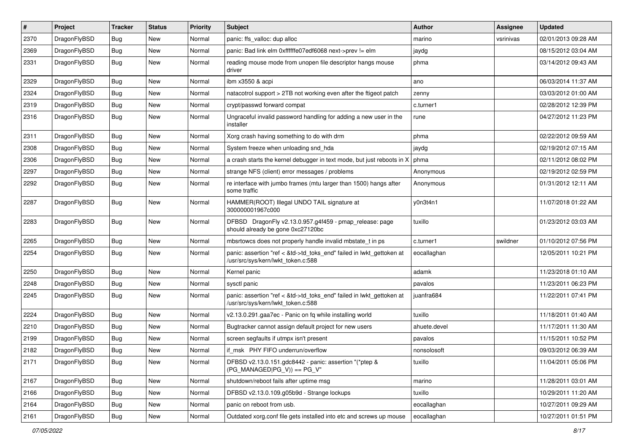| $\pmb{\#}$ | Project      | <b>Tracker</b> | <b>Status</b> | <b>Priority</b> | Subject                                                                                                    | <b>Author</b> | <b>Assignee</b> | <b>Updated</b>      |
|------------|--------------|----------------|---------------|-----------------|------------------------------------------------------------------------------------------------------------|---------------|-----------------|---------------------|
| 2370       | DragonFlyBSD | Bug            | New           | Normal          | panic: ffs_valloc: dup alloc                                                                               | marino        | vsrinivas       | 02/01/2013 09:28 AM |
| 2369       | DragonFlyBSD | Bug            | <b>New</b>    | Normal          | panic: Bad link elm 0xffffffe07edf6068 next->prev != elm                                                   | jaydg         |                 | 08/15/2012 03:04 AM |
| 2331       | DragonFlyBSD | Bug            | New           | Normal          | reading mouse mode from unopen file descriptor hangs mouse<br>driver                                       | phma          |                 | 03/14/2012 09:43 AM |
| 2329       | DragonFlyBSD | Bug            | <b>New</b>    | Normal          | ibm x3550 & acpi                                                                                           | ano           |                 | 06/03/2014 11:37 AM |
| 2324       | DragonFlyBSD | Bug            | New           | Normal          | natacotrol support > 2TB not working even after the ftigeot patch                                          | zenny         |                 | 03/03/2012 01:00 AM |
| 2319       | DragonFlyBSD | Bug            | <b>New</b>    | Normal          | crypt/passwd forward compat                                                                                | c.turner1     |                 | 02/28/2012 12:39 PM |
| 2316       | DragonFlyBSD | Bug            | New           | Normal          | Ungraceful invalid password handling for adding a new user in the<br>installer                             | rune          |                 | 04/27/2012 11:23 PM |
| 2311       | DragonFlyBSD | Bug            | <b>New</b>    | Normal          | Xorg crash having something to do with drm                                                                 | phma          |                 | 02/22/2012 09:59 AM |
| 2308       | DragonFlyBSD | Bug            | New           | Normal          | System freeze when unloading snd_hda                                                                       | jaydg         |                 | 02/19/2012 07:15 AM |
| 2306       | DragonFlyBSD | Bug            | <b>New</b>    | Normal          | a crash starts the kernel debugger in text mode, but just reboots in $X \mid p$ hma                        |               |                 | 02/11/2012 08:02 PM |
| 2297       | DragonFlyBSD | <b>Bug</b>     | <b>New</b>    | Normal          | strange NFS (client) error messages / problems                                                             | Anonymous     |                 | 02/19/2012 02:59 PM |
| 2292       | DragonFlyBSD | Bug            | New           | Normal          | re interface with jumbo frames (mtu larger than 1500) hangs after<br>some traffic                          | Anonymous     |                 | 01/31/2012 12:11 AM |
| 2287       | DragonFlyBSD | <b>Bug</b>     | <b>New</b>    | Normal          | HAMMER(ROOT) Illegal UNDO TAIL signature at<br>300000001967c000                                            | y0n3t4n1      |                 | 11/07/2018 01:22 AM |
| 2283       | DragonFlyBSD | Bug            | <b>New</b>    | Normal          | DFBSD DragonFly v2.13.0.957.g4f459 - pmap_release: page<br>should already be gone 0xc27120bc               | tuxillo       |                 | 01/23/2012 03:03 AM |
| 2265       | DragonFlyBSD | <b>Bug</b>     | <b>New</b>    | Normal          | mbsrtowcs does not properly handle invalid mbstate_t in ps                                                 | c.turner1     | swildner        | 01/10/2012 07:56 PM |
| 2254       | DragonFlyBSD | Bug            | <b>New</b>    | Normal          | panic: assertion "ref < &td->td_toks_end" failed in lwkt_gettoken at<br>/usr/src/sys/kern/lwkt_token.c:588 | eocallaghan   |                 | 12/05/2011 10:21 PM |
| 2250       | DragonFlyBSD | Bug            | <b>New</b>    | Normal          | Kernel panic                                                                                               | adamk         |                 | 11/23/2018 01:10 AM |
| 2248       | DragonFlyBSD | Bug            | <b>New</b>    | Normal          | sysctl panic                                                                                               | pavalos       |                 | 11/23/2011 06:23 PM |
| 2245       | DragonFlyBSD | Bug            | <b>New</b>    | Normal          | panic: assertion "ref < &td->td_toks_end" failed in lwkt_gettoken at<br>/usr/src/sys/kern/lwkt_token.c:588 | juanfra684    |                 | 11/22/2011 07:41 PM |
| 2224       | DragonFlyBSD | <b>Bug</b>     | <b>New</b>    | Normal          | v2.13.0.291.gaa7ec - Panic on fq while installing world                                                    | tuxillo       |                 | 11/18/2011 01:40 AM |
| 2210       | DragonFlyBSD | Bug            | <b>New</b>    | Normal          | Bugtracker cannot assign default project for new users                                                     | ahuete.devel  |                 | 11/17/2011 11:30 AM |
| 2199       | DragonFlyBSD | Bug            | New           | Normal          | screen segfaults if utmpx isn't present                                                                    | pavalos       |                 | 11/15/2011 10:52 PM |
| 2182       | DragonFlyBSD | <b>Bug</b>     | New           | Normal          | if msk PHY FIFO underrun/overflow                                                                          | nonsolosoft   |                 | 09/03/2012 06:39 AM |
| 2171       | DragonFlyBSD | <b>Bug</b>     | New           | Normal          | DFBSD v2.13.0.151.gdc8442 - panic: assertion "(*ptep &<br>$(PG_MANAGED PG_V)) == PG_V"$                    | tuxillo       |                 | 11/04/2011 05:06 PM |
| 2167       | DragonFlyBSD | <b>Bug</b>     | New           | Normal          | shutdown/reboot fails after uptime msg                                                                     | marino        |                 | 11/28/2011 03:01 AM |
| 2166       | DragonFlyBSD | Bug            | New           | Normal          | DFBSD v2.13.0.109.g05b9d - Strange lockups                                                                 | tuxillo       |                 | 10/29/2011 11:20 AM |
| 2164       | DragonFlyBSD | Bug            | New           | Normal          | panic on reboot from usb.                                                                                  | eocallaghan   |                 | 10/27/2011 09:29 AM |
| 2161       | DragonFlyBSD | Bug            | New           | Normal          | Outdated xorg.conf file gets installed into etc and screws up mouse                                        | eocallaghan   |                 | 10/27/2011 01:51 PM |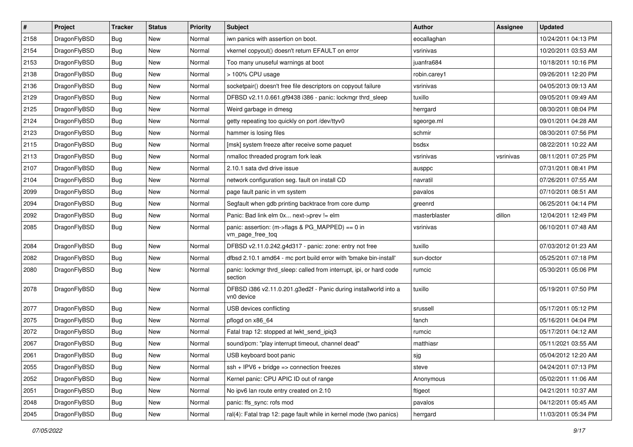| $\sharp$ | Project      | <b>Tracker</b> | <b>Status</b> | <b>Priority</b> | Subject                                                                        | <b>Author</b> | Assignee  | <b>Updated</b>      |
|----------|--------------|----------------|---------------|-----------------|--------------------------------------------------------------------------------|---------------|-----------|---------------------|
| 2158     | DragonFlyBSD | <b>Bug</b>     | New           | Normal          | iwn panics with assertion on boot.                                             | eocallaghan   |           | 10/24/2011 04:13 PM |
| 2154     | DragonFlyBSD | Bug            | <b>New</b>    | Normal          | vkernel copyout() doesn't return EFAULT on error                               | vsrinivas     |           | 10/20/2011 03:53 AM |
| 2153     | DragonFlyBSD | <b>Bug</b>     | New           | Normal          | Too many unuseful warnings at boot                                             | juanfra684    |           | 10/18/2011 10:16 PM |
| 2138     | DragonFlyBSD | Bug            | <b>New</b>    | Normal          | > 100% CPU usage                                                               | robin.carey1  |           | 09/26/2011 12:20 PM |
| 2136     | DragonFlyBSD | <b>Bug</b>     | <b>New</b>    | Normal          | socketpair() doesn't free file descriptors on copyout failure                  | vsrinivas     |           | 04/05/2013 09:13 AM |
| 2129     | DragonFlyBSD | <b>Bug</b>     | <b>New</b>    | Normal          | DFBSD v2.11.0.661.gf9438 i386 - panic: lockmgr thrd_sleep                      | tuxillo       |           | 09/05/2011 09:49 AM |
| 2125     | DragonFlyBSD | <b>Bug</b>     | New           | Normal          | Weird garbage in dmesg                                                         | herrgard      |           | 08/30/2011 08:04 PM |
| 2124     | DragonFlyBSD | Bug            | <b>New</b>    | Normal          | getty repeating too quickly on port /dev/ttyv0                                 | sgeorge.ml    |           | 09/01/2011 04:28 AM |
| 2123     | DragonFlyBSD | Bug            | New           | Normal          | hammer is losing files                                                         | schmir        |           | 08/30/2011 07:56 PM |
| 2115     | DragonFlyBSD | Bug            | New           | Normal          | [msk] system freeze after receive some paquet                                  | bsdsx         |           | 08/22/2011 10:22 AM |
| 2113     | DragonFlyBSD | <b>Bug</b>     | New           | Normal          | nmalloc threaded program fork leak                                             | vsrinivas     | vsrinivas | 08/11/2011 07:25 PM |
| 2107     | DragonFlyBSD | <b>Bug</b>     | <b>New</b>    | Normal          | 2.10.1 sata dvd drive issue                                                    | ausppc        |           | 07/31/2011 08:41 PM |
| 2104     | DragonFlyBSD | Bug            | New           | Normal          | network configuration seg. fault on install CD                                 | navratil      |           | 07/26/2011 07:55 AM |
| 2099     | DragonFlyBSD | <b>Bug</b>     | New           | Normal          | page fault panic in vm system                                                  | pavalos       |           | 07/10/2011 08:51 AM |
| 2094     | DragonFlyBSD | <b>Bug</b>     | <b>New</b>    | Normal          | Segfault when gdb printing backtrace from core dump                            | greenrd       |           | 06/25/2011 04:14 PM |
| 2092     | DragonFlyBSD | <b>Bug</b>     | New           | Normal          | Panic: Bad link elm 0x next->prev != elm                                       | masterblaster | dillon    | 12/04/2011 12:49 PM |
| 2085     | DragonFlyBSD | Bug            | <b>New</b>    | Normal          | panic: assertion: (m->flags & PG_MAPPED) == 0 in<br>vm_page_free_toq           | vsrinivas     |           | 06/10/2011 07:48 AM |
| 2084     | DragonFlyBSD | <b>Bug</b>     | <b>New</b>    | Normal          | DFBSD v2.11.0.242.g4d317 - panic: zone: entry not free                         | tuxillo       |           | 07/03/2012 01:23 AM |
| 2082     | DragonFlyBSD | <b>Bug</b>     | <b>New</b>    | Normal          | dfbsd 2.10.1 amd64 - mc port build error with 'bmake bin-install'              | sun-doctor    |           | 05/25/2011 07:18 PM |
| 2080     | DragonFlyBSD | <b>Bug</b>     | <b>New</b>    | Normal          | panic: lockmgr thrd_sleep: called from interrupt, ipi, or hard code<br>section | rumcic        |           | 05/30/2011 05:06 PM |
| 2078     | DragonFlyBSD | <b>Bug</b>     | New           | Normal          | DFBSD i386 v2.11.0.201.g3ed2f - Panic during installworld into a<br>vn0 device | tuxillo       |           | 05/19/2011 07:50 PM |
| 2077     | DragonFlyBSD | <b>Bug</b>     | New           | Normal          | USB devices conflicting                                                        | srussell      |           | 05/17/2011 05:12 PM |
| 2075     | DragonFlyBSD | <b>Bug</b>     | <b>New</b>    | Normal          | pflogd on x86_64                                                               | fanch         |           | 05/16/2011 04:04 PM |
| 2072     | DragonFlyBSD | <b>Bug</b>     | <b>New</b>    | Normal          | Fatal trap 12: stopped at lwkt_send_ipiq3                                      | rumcic        |           | 05/17/2011 04:12 AM |
| 2067     | DragonFlyBSD | <b>Bug</b>     | New           | Normal          | sound/pcm: "play interrupt timeout, channel dead"                              | matthiasr     |           | 05/11/2021 03:55 AM |
| 2061     | DragonFlyBSD | Bug            | <b>New</b>    | Normal          | USB keyboard boot panic                                                        | sjg           |           | 05/04/2012 12:20 AM |
| 2055     | DragonFlyBSD | <b>Bug</b>     | <b>New</b>    | Normal          | $ssh + IPV6 + bridge \Rightarrow connection freezes$                           | steve         |           | 04/24/2011 07:13 PM |
| 2052     | DragonFlyBSD | <b>Bug</b>     | <b>New</b>    | Normal          | Kernel panic: CPU APIC ID out of range                                         | Anonymous     |           | 05/02/2011 11:06 AM |
| 2051     | DragonFlyBSD | Bug            | <b>New</b>    | Normal          | No ipv6 lan route entry created on 2.10                                        | ftigeot       |           | 04/21/2011 10:37 AM |
| 2048     | DragonFlyBSD | Bug            | New           | Normal          | panic: ffs_sync: rofs mod                                                      | pavalos       |           | 04/12/2011 05:45 AM |
| 2045     | DragonFlyBSD | <b>Bug</b>     | New           | Normal          | ral(4): Fatal trap 12: page fault while in kernel mode (two panics)            | herrgard      |           | 11/03/2011 05:34 PM |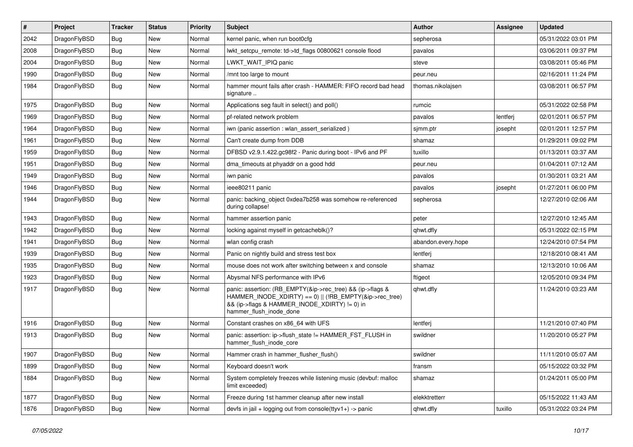| #    | Project      | <b>Tracker</b> | <b>Status</b> | <b>Priority</b> | Subject                                                                                                                                                                                           | <b>Author</b>      | Assignee | <b>Updated</b>      |
|------|--------------|----------------|---------------|-----------------|---------------------------------------------------------------------------------------------------------------------------------------------------------------------------------------------------|--------------------|----------|---------------------|
| 2042 | DragonFlyBSD | <b>Bug</b>     | <b>New</b>    | Normal          | kernel panic, when run boot0cfg                                                                                                                                                                   | sepherosa          |          | 05/31/2022 03:01 PM |
| 2008 | DragonFlyBSD | <b>Bug</b>     | <b>New</b>    | Normal          | lwkt_setcpu_remote: td->td_flags 00800621 console flood                                                                                                                                           | pavalos            |          | 03/06/2011 09:37 PM |
| 2004 | DragonFlyBSD | Bug            | New           | Normal          | LWKT WAIT IPIQ panic                                                                                                                                                                              | steve              |          | 03/08/2011 05:46 PM |
| 1990 | DragonFlyBSD | <b>Bug</b>     | New           | Normal          | /mnt too large to mount                                                                                                                                                                           | peur.neu           |          | 02/16/2011 11:24 PM |
| 1984 | DragonFlyBSD | <b>Bug</b>     | New           | Normal          | hammer mount fails after crash - HAMMER: FIFO record bad head<br>signature                                                                                                                        | thomas.nikolajsen  |          | 03/08/2011 06:57 PM |
| 1975 | DragonFlyBSD | <b>Bug</b>     | New           | Normal          | Applications seg fault in select() and poll()                                                                                                                                                     | rumcic             |          | 05/31/2022 02:58 PM |
| 1969 | DragonFlyBSD | <b>Bug</b>     | New           | Normal          | pf-related network problem                                                                                                                                                                        | pavalos            | lentferj | 02/01/2011 06:57 PM |
| 1964 | DragonFlyBSD | <b>Bug</b>     | New           | Normal          | iwn (panic assertion : wlan assert serialized)                                                                                                                                                    | sjmm.ptr           | josepht  | 02/01/2011 12:57 PM |
| 1961 | DragonFlyBSD | <b>Bug</b>     | New           | Normal          | Can't create dump from DDB                                                                                                                                                                        | shamaz             |          | 01/29/2011 09:02 PM |
| 1959 | DragonFlyBSD | <b>Bug</b>     | New           | Normal          | DFBSD v2.9.1.422.gc98f2 - Panic during boot - IPv6 and PF                                                                                                                                         | tuxillo            |          | 01/13/2011 03:37 AM |
| 1951 | DragonFlyBSD | <b>Bug</b>     | New           | Normal          | dma timeouts at phyaddr on a good hdd                                                                                                                                                             | peur.neu           |          | 01/04/2011 07:12 AM |
| 1949 | DragonFlyBSD | Bug            | New           | Normal          | iwn panic                                                                                                                                                                                         | pavalos            |          | 01/30/2011 03:21 AM |
| 1946 | DragonFlyBSD | <b>Bug</b>     | New           | Normal          | ieee80211 panic                                                                                                                                                                                   | pavalos            | josepht  | 01/27/2011 06:00 PM |
| 1944 | DragonFlyBSD | <b>Bug</b>     | <b>New</b>    | Normal          | panic: backing object 0xdea7b258 was somehow re-referenced<br>during collapse!                                                                                                                    | sepherosa          |          | 12/27/2010 02:06 AM |
| 1943 | DragonFlyBSD | <b>Bug</b>     | New           | Normal          | hammer assertion panic                                                                                                                                                                            | peter              |          | 12/27/2010 12:45 AM |
| 1942 | DragonFlyBSD | <b>Bug</b>     | New           | Normal          | locking against myself in getcacheblk()?                                                                                                                                                          | qhwt.dfly          |          | 05/31/2022 02:15 PM |
| 1941 | DragonFlyBSD | <b>Bug</b>     | New           | Normal          | wlan config crash                                                                                                                                                                                 | abandon.every.hope |          | 12/24/2010 07:54 PM |
| 1939 | DragonFlyBSD | <b>Bug</b>     | <b>New</b>    | Normal          | Panic on nightly build and stress test box                                                                                                                                                        | lentferj           |          | 12/18/2010 08:41 AM |
| 1935 | DragonFlyBSD | <b>Bug</b>     | New           | Normal          | mouse does not work after switching between x and console                                                                                                                                         | shamaz             |          | 12/13/2010 10:06 AM |
| 1923 | DragonFlyBSD | <b>Bug</b>     | New           | Normal          | Abysmal NFS performance with IPv6                                                                                                                                                                 | ftigeot            |          | 12/05/2010 09:34 PM |
| 1917 | DragonFlyBSD | Bug            | New           | Normal          | panic: assertion: (RB_EMPTY(&ip->rec_tree) && (ip->flags &<br>HAMMER_INODE_XDIRTY) == 0)    (!RB_EMPTY(&ip->rec_tree)<br>&& (ip->flags & HAMMER_INODE_XDIRTY) != 0) in<br>hammer_flush_inode_done | qhwt.dfly          |          | 11/24/2010 03:23 AM |
| 1916 | DragonFlyBSD | <b>Bug</b>     | New           | Normal          | Constant crashes on x86_64 with UFS                                                                                                                                                               | lentferj           |          | 11/21/2010 07:40 PM |
| 1913 | DragonFlyBSD | Bug            | New           | Normal          | panic: assertion: ip->flush_state != HAMMER_FST_FLUSH in<br>hammer flush inode core                                                                                                               | swildner           |          | 11/20/2010 05:27 PM |
| 1907 | DragonFlyBSD | Bug            | <b>New</b>    | Normal          | Hammer crash in hammer flusher flush()                                                                                                                                                            | swildner           |          | 11/11/2010 05:07 AM |
| 1899 | DragonFlyBSD | <b>Bug</b>     | New           | Normal          | Keyboard doesn't work                                                                                                                                                                             | fransm             |          | 05/15/2022 03:32 PM |
| 1884 | DragonFlyBSD | <b>Bug</b>     | New           | Normal          | System completely freezes while listening music (devbuf: malloc<br>limit exceeded)                                                                                                                | shamaz             |          | 01/24/2011 05:00 PM |
| 1877 | DragonFlyBSD | <b>Bug</b>     | New           | Normal          | Freeze during 1st hammer cleanup after new install                                                                                                                                                | elekktretterr      |          | 05/15/2022 11:43 AM |
| 1876 | DragonFlyBSD | Bug            | New           | Normal          | devfs in jail + logging out from console(ttyv1+) -> panic                                                                                                                                         | qhwt.dfly          | tuxillo  | 05/31/2022 03:24 PM |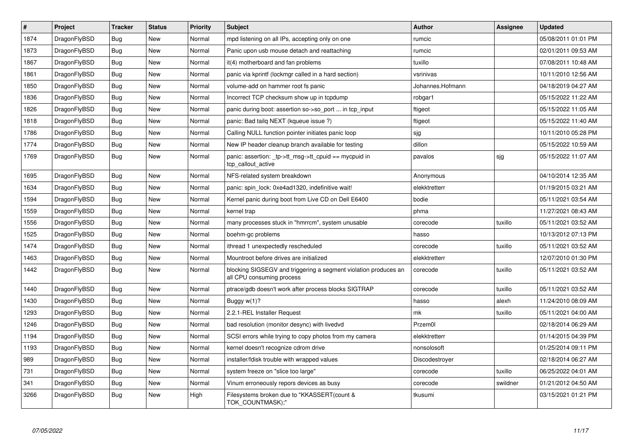| $\vert$ # | Project      | <b>Tracker</b> | <b>Status</b> | <b>Priority</b> | <b>Subject</b>                                                                               | <b>Author</b>    | Assignee | <b>Updated</b>      |
|-----------|--------------|----------------|---------------|-----------------|----------------------------------------------------------------------------------------------|------------------|----------|---------------------|
| 1874      | DragonFlyBSD | <b>Bug</b>     | <b>New</b>    | Normal          | mpd listening on all IPs, accepting only on one                                              | rumcic           |          | 05/08/2011 01:01 PM |
| 1873      | DragonFlyBSD | Bug            | <b>New</b>    | Normal          | Panic upon usb mouse detach and reattaching                                                  | rumcic           |          | 02/01/2011 09:53 AM |
| 1867      | DragonFlyBSD | <b>Bug</b>     | <b>New</b>    | Normal          | it(4) motherboard and fan problems                                                           | tuxillo          |          | 07/08/2011 10:48 AM |
| 1861      | DragonFlyBSD | Bug            | <b>New</b>    | Normal          | panic via kprintf (lockmgr called in a hard section)                                         | vsrinivas        |          | 10/11/2010 12:56 AM |
| 1850      | DragonFlyBSD | <b>Bug</b>     | <b>New</b>    | Normal          | volume-add on hammer root fs panic                                                           | Johannes.Hofmann |          | 04/18/2019 04:27 AM |
| 1836      | DragonFlyBSD | Bug            | <b>New</b>    | Normal          | Incorrect TCP checksum show up in tcpdump                                                    | robgar1          |          | 05/15/2022 11:22 AM |
| 1826      | DragonFlyBSD | <b>Bug</b>     | <b>New</b>    | Normal          | panic during boot: assertion so->so_port  in tcp_input                                       | ftigeot          |          | 05/15/2022 11:05 AM |
| 1818      | DragonFlyBSD | <b>Bug</b>     | New           | Normal          | panic: Bad tailg NEXT (kqueue issue ?)                                                       | ftigeot          |          | 05/15/2022 11:40 AM |
| 1786      | DragonFlyBSD | <b>Bug</b>     | <b>New</b>    | Normal          | Calling NULL function pointer initiates panic loop                                           | sjg              |          | 10/11/2010 05:28 PM |
| 1774      | DragonFlyBSD | Bug            | <b>New</b>    | Normal          | New IP header cleanup branch available for testing                                           | dillon           |          | 05/15/2022 10:59 AM |
| 1769      | DragonFlyBSD | <b>Bug</b>     | New           | Normal          | panic: assertion: _tp->tt_msg->tt_cpuid == mycpuid in<br>tcp callout active                  | pavalos          | sjg      | 05/15/2022 11:07 AM |
| 1695      | DragonFlyBSD | <b>Bug</b>     | <b>New</b>    | Normal          | NFS-related system breakdown                                                                 | Anonymous        |          | 04/10/2014 12:35 AM |
| 1634      | DragonFlyBSD | Bug            | <b>New</b>    | Normal          | panic: spin lock: 0xe4ad1320, indefinitive wait!                                             | elekktretterr    |          | 01/19/2015 03:21 AM |
| 1594      | DragonFlyBSD | <b>Bug</b>     | <b>New</b>    | Normal          | Kernel panic during boot from Live CD on Dell E6400                                          | bodie            |          | 05/11/2021 03:54 AM |
| 1559      | DragonFlyBSD | Bug            | New           | Normal          | kernel trap                                                                                  | phma             |          | 11/27/2021 08:43 AM |
| 1556      | DragonFlyBSD | <b>Bug</b>     | <b>New</b>    | Normal          | many processes stuck in "hmrrcm", system unusable                                            | corecode         | tuxillo  | 05/11/2021 03:52 AM |
| 1525      | DragonFlyBSD | Bug            | New           | Normal          | boehm-gc problems                                                                            | hasso            |          | 10/13/2012 07:13 PM |
| 1474      | DragonFlyBSD | <b>Bug</b>     | <b>New</b>    | Normal          | ithread 1 unexpectedly rescheduled                                                           | corecode         | tuxillo  | 05/11/2021 03:52 AM |
| 1463      | DragonFlyBSD | Bug            | <b>New</b>    | Normal          | Mountroot before drives are initialized                                                      | elekktretterr    |          | 12/07/2010 01:30 PM |
| 1442      | DragonFlyBSD | <b>Bug</b>     | <b>New</b>    | Normal          | blocking SIGSEGV and triggering a segment violation produces an<br>all CPU consuming process | corecode         | tuxillo  | 05/11/2021 03:52 AM |
| 1440      | DragonFlyBSD | <b>Bug</b>     | <b>New</b>    | Normal          | ptrace/gdb doesn't work after process blocks SIGTRAP                                         | corecode         | tuxillo  | 05/11/2021 03:52 AM |
| 1430      | DragonFlyBSD | Bug            | <b>New</b>    | Normal          | Buggy $w(1)$ ?                                                                               | hasso            | alexh    | 11/24/2010 08:09 AM |
| 1293      | DragonFlyBSD | <b>Bug</b>     | <b>New</b>    | Normal          | 2.2.1-REL Installer Request                                                                  | mk               | tuxillo  | 05/11/2021 04:00 AM |
| 1246      | DragonFlyBSD | <b>Bug</b>     | <b>New</b>    | Normal          | bad resolution (monitor desync) with livedvd                                                 | Przem0l          |          | 02/18/2014 06:29 AM |
| 1194      | DragonFlyBSD | <b>Bug</b>     | <b>New</b>    | Normal          | SCSI errors while trying to copy photos from my camera                                       | elekktretterr    |          | 01/14/2015 04:39 PM |
| 1193      | DragonFlyBSD | Bug            | <b>New</b>    | Normal          | kernel doesn't recognize cdrom drive                                                         | nonsolosoft      |          | 01/25/2014 09:11 PM |
| 989       | DragonFlyBSD | <b>Bug</b>     | <b>New</b>    | Normal          | installer/fdisk trouble with wrapped values                                                  | Discodestroyer   |          | 02/18/2014 06:27 AM |
| 731       | DragonFlyBSD | Bug            | <b>New</b>    | Normal          | system freeze on "slice too large"                                                           | corecode         | tuxillo  | 06/25/2022 04:01 AM |
| 341       | DragonFlyBSD | <b>Bug</b>     | <b>New</b>    | Normal          | Vinum erroneously repors devices as busy                                                     | corecode         | swildner | 01/21/2012 04:50 AM |
| 3266      | DragonFlyBSD | Bug            | <b>New</b>    | High            | Filesystems broken due to "KKASSERT(count &<br>TOK_COUNTMASK);"                              | tkusumi          |          | 03/15/2021 01:21 PM |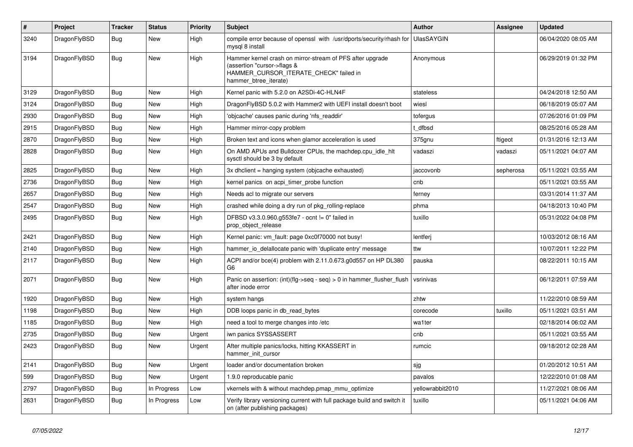| $\vert$ # | Project      | <b>Tracker</b> | <b>Status</b> | <b>Priority</b> | <b>Subject</b>                                                                                                                                              | <b>Author</b>     | Assignee  | <b>Updated</b>      |
|-----------|--------------|----------------|---------------|-----------------|-------------------------------------------------------------------------------------------------------------------------------------------------------------|-------------------|-----------|---------------------|
| 3240      | DragonFlyBSD | <b>Bug</b>     | New           | High            | compile error because of openssl with /usr/dports/security/rhash for<br>mysgl 8 install                                                                     | <b>UlasSAYGIN</b> |           | 06/04/2020 08:05 AM |
| 3194      | DragonFlyBSD | <b>Bug</b>     | <b>New</b>    | High            | Hammer kernel crash on mirror-stream of PFS after upgrade<br>(assertion "cursor->flags &<br>HAMMER_CURSOR_ITERATE_CHECK" failed in<br>hammer_btree_iterate) | Anonymous         |           | 06/29/2019 01:32 PM |
| 3129      | DragonFlyBSD | <b>Bug</b>     | <b>New</b>    | High            | Kernel panic with 5.2.0 on A2SDi-4C-HLN4F                                                                                                                   | stateless         |           | 04/24/2018 12:50 AM |
| 3124      | DragonFlyBSD | <b>Bug</b>     | <b>New</b>    | High            | DragonFlyBSD 5.0.2 with Hammer2 with UEFI install doesn't boot                                                                                              | wiesl             |           | 06/18/2019 05:07 AM |
| 2930      | DragonFlyBSD | <b>Bug</b>     | <b>New</b>    | High            | 'objcache' causes panic during 'nfs_readdir'                                                                                                                | tofergus          |           | 07/26/2016 01:09 PM |
| 2915      | DragonFlyBSD | <b>Bug</b>     | <b>New</b>    | High            | Hammer mirror-copy problem                                                                                                                                  | t dfbsd           |           | 08/25/2016 05:28 AM |
| 2870      | DragonFlyBSD | <b>Bug</b>     | <b>New</b>    | High            | Broken text and icons when glamor acceleration is used                                                                                                      | 375gnu            | ftigeot   | 01/31/2016 12:13 AM |
| 2828      | DragonFlyBSD | Bug            | <b>New</b>    | High            | On AMD APUs and Bulldozer CPUs, the machdep.cpu idle hit<br>sysctl should be 3 by default                                                                   | vadaszi           | vadaszi   | 05/11/2021 04:07 AM |
| 2825      | DragonFlyBSD | Bug            | <b>New</b>    | High            | 3x dholient = hanging system (objoache exhausted)                                                                                                           | jaccovonb         | sepherosa | 05/11/2021 03:55 AM |
| 2736      | DragonFlyBSD | Bug            | <b>New</b>    | High            | kernel panics on acpi timer probe function                                                                                                                  | cnb               |           | 05/11/2021 03:55 AM |
| 2657      | DragonFlyBSD | Bug            | <b>New</b>    | High            | Needs acl to migrate our servers                                                                                                                            | ferney            |           | 03/31/2014 11:37 AM |
| 2547      | DragonFlyBSD | <b>Bug</b>     | New           | High            | crashed while doing a dry run of pkg rolling-replace                                                                                                        | phma              |           | 04/18/2013 10:40 PM |
| 2495      | DragonFlyBSD | Bug            | New           | High            | DFBSD v3.3.0.960.g553fe7 - ocnt != 0" failed in<br>prop_object_release                                                                                      | tuxillo           |           | 05/31/2022 04:08 PM |
| 2421      | DragonFlyBSD | <b>Bug</b>     | <b>New</b>    | High            | Kernel panic: vm fault: page 0xc0f70000 not busy!                                                                                                           | lentferj          |           | 10/03/2012 08:16 AM |
| 2140      | DragonFlyBSD | <b>Bug</b>     | <b>New</b>    | High            | hammer io delallocate panic with 'duplicate entry' message                                                                                                  | ttw               |           | 10/07/2011 12:22 PM |
| 2117      | DragonFlyBSD | Bug            | <b>New</b>    | High            | ACPI and/or bce(4) problem with 2.11.0.673.g0d557 on HP DL380<br>G6                                                                                         | pauska            |           | 08/22/2011 10:15 AM |
| 2071      | DragonFlyBSD | <b>Bug</b>     | <b>New</b>    | High            | Panic on assertion: (int)(flg->seq - seq) > 0 in hammer_flusher_flush<br>after inode error                                                                  | vsrinivas         |           | 06/12/2011 07:59 AM |
| 1920      | DragonFlyBSD | <b>Bug</b>     | <b>New</b>    | High            | system hangs                                                                                                                                                | zhtw              |           | 11/22/2010 08:59 AM |
| 1198      | DragonFlyBSD | Bug            | New           | High            | DDB loops panic in db_read_bytes                                                                                                                            | corecode          | tuxillo   | 05/11/2021 03:51 AM |
| 1185      | DragonFlyBSD | Bug            | <b>New</b>    | High            | need a tool to merge changes into /etc                                                                                                                      | wa1ter            |           | 02/18/2014 06:02 AM |
| 2735      | DragonFlyBSD | Bug            | <b>New</b>    | Urgent          | iwn panics SYSSASSERT                                                                                                                                       | cnb               |           | 05/11/2021 03:55 AM |
| 2423      | DragonFlyBSD | Bug            | <b>New</b>    | Urgent          | After multiple panics/locks, hitting KKASSERT in<br>hammer init cursor                                                                                      | rumcic            |           | 09/18/2012 02:28 AM |
| 2141      | DragonFlyBSD | <b>Bug</b>     | <b>New</b>    | Urgent          | loader and/or documentation broken                                                                                                                          | sjg               |           | 01/20/2012 10:51 AM |
| 599       | DragonFlyBSD | <b>Bug</b>     | <b>New</b>    | Urgent          | 1.9.0 reproducable panic                                                                                                                                    | pavalos           |           | 12/22/2010 01:08 AM |
| 2797      | DragonFlyBSD | <b>Bug</b>     | In Progress   | Low             | vkernels with & without machdep.pmap mmu optimize                                                                                                           | yellowrabbit2010  |           | 11/27/2021 08:06 AM |
| 2631      | DragonFlyBSD | <b>Bug</b>     | In Progress   | Low             | Verify library versioning current with full package build and switch it<br>on (after publishing packages)                                                   | tuxillo           |           | 05/11/2021 04:06 AM |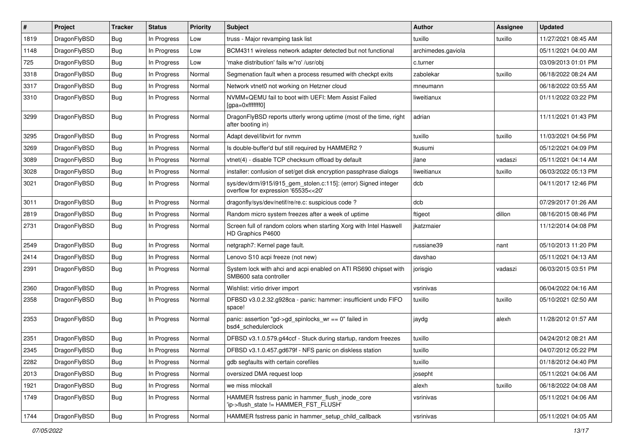| #    | Project      | <b>Tracker</b> | <b>Status</b> | <b>Priority</b> | Subject                                                                                                | <b>Author</b>      | <b>Assignee</b> | <b>Updated</b>      |
|------|--------------|----------------|---------------|-----------------|--------------------------------------------------------------------------------------------------------|--------------------|-----------------|---------------------|
| 1819 | DragonFlyBSD | <b>Bug</b>     | In Progress   | Low             | truss - Major revamping task list                                                                      | tuxillo            | tuxillo         | 11/27/2021 08:45 AM |
| 1148 | DragonFlyBSD | <b>Bug</b>     | In Progress   | Low             | BCM4311 wireless network adapter detected but not functional                                           | archimedes.gaviola |                 | 05/11/2021 04:00 AM |
| 725  | DragonFlyBSD | <b>Bug</b>     | In Progress   | Low             | 'make distribution' fails w/'ro' /usr/obj                                                              | c.turner           |                 | 03/09/2013 01:01 PM |
| 3318 | DragonFlyBSD | <b>Bug</b>     | In Progress   | Normal          | Segmenation fault when a process resumed with checkpt exits                                            | zabolekar          | tuxillo         | 06/18/2022 08:24 AM |
| 3317 | DragonFlyBSD | <b>Bug</b>     | In Progress   | Normal          | Network vtnet0 not working on Hetzner cloud                                                            | mneumann           |                 | 06/18/2022 03:55 AM |
| 3310 | DragonFlyBSD | <b>Bug</b>     | In Progress   | Normal          | NVMM+QEMU fail to boot with UEFI: Mem Assist Failed<br>[gpa=0xfffffff0]                                | liweitianux        |                 | 01/11/2022 03:22 PM |
| 3299 | DragonFlyBSD | <b>Bug</b>     | In Progress   | Normal          | DragonFlyBSD reports utterly wrong uptime (most of the time, right<br>after booting in)                | adrian             |                 | 11/11/2021 01:43 PM |
| 3295 | DragonFlyBSD | <b>Bug</b>     | In Progress   | Normal          | Adapt devel/libvirt for nvmm                                                                           | tuxillo            | tuxillo         | 11/03/2021 04:56 PM |
| 3269 | DragonFlyBSD | <b>Bug</b>     | In Progress   | Normal          | Is double-buffer'd buf still required by HAMMER2?                                                      | tkusumi            |                 | 05/12/2021 04:09 PM |
| 3089 | DragonFlyBSD | <b>Bug</b>     | In Progress   | Normal          | vtnet(4) - disable TCP checksum offload by default                                                     | jlane              | vadaszi         | 05/11/2021 04:14 AM |
| 3028 | DragonFlyBSD | <b>Bug</b>     | In Progress   | Normal          | installer: confusion of set/get disk encryption passphrase dialogs                                     | liweitianux        | tuxillo         | 06/03/2022 05:13 PM |
| 3021 | DragonFlyBSD | <b>Bug</b>     | In Progress   | Normal          | sys/dev/drm/i915/i915_gem_stolen.c:115]: (error) Signed integer<br>overflow for expression '65535<<20' | dcb                |                 | 04/11/2017 12:46 PM |
| 3011 | DragonFlyBSD | <b>Bug</b>     | In Progress   | Normal          | dragonfly/sys/dev/netif/re/re.c: suspicious code?                                                      | dcb                |                 | 07/29/2017 01:26 AM |
| 2819 | DragonFlyBSD | Bug            | In Progress   | Normal          | Random micro system freezes after a week of uptime                                                     | ftigeot            | dillon          | 08/16/2015 08:46 PM |
| 2731 | DragonFlyBSD | Bug            | In Progress   | Normal          | Screen full of random colors when starting Xorg with Intel Haswell<br>HD Graphics P4600                | ikatzmaier         |                 | 11/12/2014 04:08 PM |
| 2549 | DragonFlyBSD | Bug            | In Progress   | Normal          | netgraph7: Kernel page fault.                                                                          | russiane39         | nant            | 05/10/2013 11:20 PM |
| 2414 | DragonFlyBSD | Bug            | In Progress   | Normal          | Lenovo S10 acpi freeze (not new)                                                                       | davshao            |                 | 05/11/2021 04:13 AM |
| 2391 | DragonFlyBSD | Bug            | In Progress   | Normal          | System lock with ahci and acpi enabled on ATI RS690 chipset with<br>SMB600 sata controller             | jorisgio           | vadaszi         | 06/03/2015 03:51 PM |
| 2360 | DragonFlyBSD | Bug            | In Progress   | Normal          | Wishlist: virtio driver import                                                                         | vsrinivas          |                 | 06/04/2022 04:16 AM |
| 2358 | DragonFlyBSD | Bug            | In Progress   | Normal          | DFBSD v3.0.2.32.g928ca - panic: hammer: insufficient undo FIFO<br>space!                               | tuxillo            | tuxillo         | 05/10/2021 02:50 AM |
| 2353 | DragonFlyBSD | Bug            | In Progress   | Normal          | panic: assertion "gd->gd_spinlocks_wr == 0" failed in<br>bsd4 schedulerclock                           | jaydg              | alexh           | 11/28/2012 01:57 AM |
| 2351 | DragonFlyBSD | Bug            | In Progress   | Normal          | DFBSD v3.1.0.579.g44ccf - Stuck during startup, random freezes                                         | tuxillo            |                 | 04/24/2012 08:21 AM |
| 2345 | DragonFlyBSD | <b>Bug</b>     | In Progress   | Normal          | DFBSD v3.1.0.457.gd679f - NFS panic on diskless station                                                | tuxillo            |                 | 04/07/2012 05:22 PM |
| 2282 | DragonFlyBSD | <b>Bug</b>     | In Progress   | Normal          | gdb segfaults with certain corefiles                                                                   | tuxillo            |                 | 01/18/2012 04:40 PM |
| 2013 | DragonFlyBSD | <b>Bug</b>     | In Progress   | Normal          | oversized DMA request loop                                                                             | josepht            |                 | 05/11/2021 04:06 AM |
| 1921 | DragonFlyBSD | Bug            | In Progress   | Normal          | we miss mlockall                                                                                       | alexh              | tuxillo         | 06/18/2022 04:08 AM |
| 1749 | DragonFlyBSD | <b>Bug</b>     | In Progress   | Normal          | HAMMER fsstress panic in hammer_flush_inode_core<br>'ip->flush_state != HAMMER_FST_FLUSH'              | vsrinivas          |                 | 05/11/2021 04:06 AM |
| 1744 | DragonFlyBSD | <b>Bug</b>     | In Progress   | Normal          | HAMMER fsstress panic in hammer_setup_child_callback                                                   | vsrinivas          |                 | 05/11/2021 04:05 AM |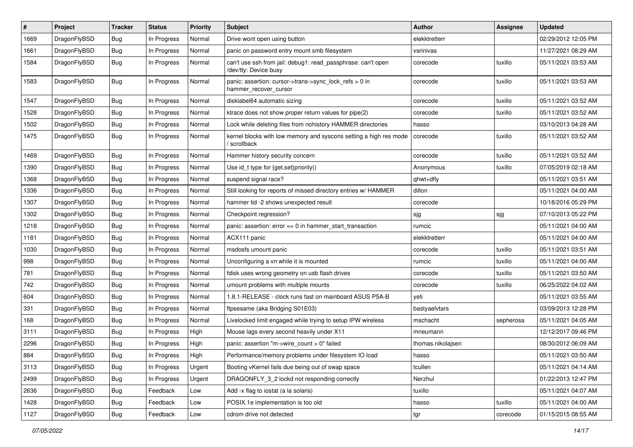| $\pmb{\#}$ | Project      | <b>Tracker</b> | <b>Status</b> | <b>Priority</b> | Subject                                                                               | <b>Author</b>     | <b>Assignee</b> | <b>Updated</b>      |
|------------|--------------|----------------|---------------|-----------------|---------------------------------------------------------------------------------------|-------------------|-----------------|---------------------|
| 1669       | DragonFlyBSD | Bug            | In Progress   | Normal          | Drive wont open using button                                                          | elekktretterr     |                 | 02/29/2012 12:05 PM |
| 1661       | DragonFlyBSD | Bug            | In Progress   | Normal          | panic on password entry mount smb filesystem                                          | vsrinivas         |                 | 11/27/2021 08:29 AM |
| 1584       | DragonFlyBSD | <b>Bug</b>     | In Progress   | Normal          | can't use ssh from jail: debug1: read_passphrase: can't open<br>/dev/tty: Device busy | corecode          | tuxillo         | 05/11/2021 03:53 AM |
| 1583       | DragonFlyBSD | Bug            | In Progress   | Normal          | panic: assertion: cursor->trans->sync_lock_refs > 0 in<br>hammer_recover_cursor       | corecode          | tuxillo         | 05/11/2021 03:53 AM |
| 1547       | DragonFlyBSD | Bug            | In Progress   | Normal          | disklabel64 automatic sizing                                                          | corecode          | tuxillo         | 05/11/2021 03:52 AM |
| 1528       | DragonFlyBSD | Bug            | In Progress   | Normal          | ktrace does not show proper return values for pipe(2)                                 | corecode          | tuxillo         | 05/11/2021 03:52 AM |
| 1502       | DragonFlyBSD | Bug            | In Progress   | Normal          | Lock while deleting files from nohistory HAMMER directories                           | hasso             |                 | 03/10/2013 04:28 AM |
| 1475       | DragonFlyBSD | Bug            | In Progress   | Normal          | kernel blocks with low memory and syscons setting a high res mode<br>scrollback       | corecode          | tuxillo         | 05/11/2021 03:52 AM |
| 1469       | DragonFlyBSD | Bug            | In Progress   | Normal          | Hammer history security concern                                                       | corecode          | tuxillo         | 05/11/2021 03:52 AM |
| 1390       | DragonFlyBSD | Bug            | In Progress   | Normal          | Use id_t type for {get,set}priority()                                                 | Anonymous         | tuxillo         | 07/05/2019 02:18 AM |
| 1368       | DragonFlyBSD | Bug            | In Progress   | Normal          | suspend signal race?                                                                  | qhwt+dfly         |                 | 05/11/2021 03:51 AM |
| 1336       | DragonFlyBSD | Bug            | In Progress   | Normal          | Still looking for reports of missed directory entries w/ HAMMER                       | dillon            |                 | 05/11/2021 04:00 AM |
| 1307       | DragonFlyBSD | Bug            | In Progress   | Normal          | hammer tid -2 shows unexpected result                                                 | corecode          |                 | 10/18/2016 05:29 PM |
| 1302       | DragonFlyBSD | Bug            | In Progress   | Normal          | Checkpoint regression?                                                                | sjg               | sjg             | 07/10/2013 05:22 PM |
| 1218       | DragonFlyBSD | Bug            | In Progress   | Normal          | panic: assertion: error == 0 in hammer_start_transaction                              | rumcic            |                 | 05/11/2021 04:00 AM |
| 1181       | DragonFlyBSD | Bug            | In Progress   | Normal          | ACX111 panic                                                                          | elekktretterr     |                 | 05/11/2021 04:00 AM |
| 1030       | DragonFlyBSD | Bug            | In Progress   | Normal          | msdosfs umount panic                                                                  | corecode          | tuxillo         | 05/11/2021 03:51 AM |
| 998        | DragonFlyBSD | Bug            | In Progress   | Normal          | Unconfiguring a vn while it is mounted                                                | rumcic            | tuxillo         | 05/11/2021 04:00 AM |
| 781        | DragonFlyBSD | Bug            | In Progress   | Normal          | fdisk uses wrong geometry on usb flash drives                                         | corecode          | tuxillo         | 05/11/2021 03:50 AM |
| 742        | DragonFlyBSD | Bug            | In Progress   | Normal          | umount problems with multiple mounts                                                  | corecode          | tuxillo         | 06/25/2022 04:02 AM |
| 604        | DragonFlyBSD | Bug            | In Progress   | Normal          | 1.8.1-RELEASE - clock runs fast on mainboard ASUS P5A-B                               | yeti              |                 | 05/11/2021 03:55 AM |
| 331        | DragonFlyBSD | Bug            | In Progress   | Normal          | ftpsesame (aka Bridging S01E03)                                                       | bastyaelvtars     |                 | 03/09/2013 12:28 PM |
| 168        | DragonFlyBSD | Bug            | In Progress   | Normal          | Livelocked limit engaged while trying to setup IPW wireless                           | mschacht          | sepherosa       | 05/11/2021 04:05 AM |
| 3111       | DragonFlyBSD | Bug            | In Progress   | High            | Mouse lags every second heavily under X11                                             | mneumann          |                 | 12/12/2017 09:46 PM |
| 2296       | DragonFlyBSD | Bug            | In Progress   | High            | panic: assertion "m->wire_count > 0" failed                                           | thomas.nikolajsen |                 | 08/30/2012 06:09 AM |
| 884        | DragonFlyBSD | Bug            | In Progress   | High            | Performance/memory problems under filesystem IO load                                  | hasso             |                 | 05/11/2021 03:50 AM |
| 3113       | DragonFlyBSD | <b>Bug</b>     | In Progress   | Urgent          | Booting vKernel fails due being out of swap space                                     | tcullen           |                 | 05/11/2021 04:14 AM |
| 2499       | DragonFlyBSD | Bug            | In Progress   | Urgent          | DRAGONFLY 3 2 lockd not responding correctly                                          | Nerzhul           |                 | 01/22/2013 12:47 PM |
| 2636       | DragonFlyBSD | <b>Bug</b>     | Feedback      | Low             | Add -x flag to iostat (a la solaris)                                                  | tuxillo           |                 | 05/11/2021 04:07 AM |
| 1428       | DragonFlyBSD | <b>Bug</b>     | Feedback      | Low             | POSIX.1e implementation is too old                                                    | hasso             | tuxillo         | 05/11/2021 04:00 AM |
| 1127       | DragonFlyBSD | <b>Bug</b>     | Feedback      | Low             | cdrom drive not detected                                                              | tgr               | corecode        | 01/15/2015 08:55 AM |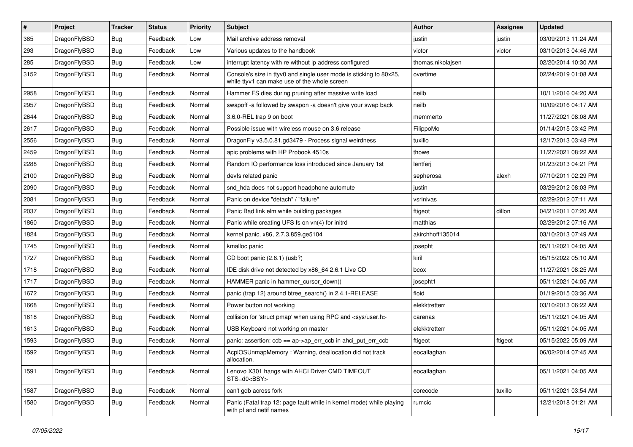| $\sharp$ | Project      | <b>Tracker</b> | <b>Status</b> | <b>Priority</b> | <b>Subject</b>                                                                                                     | <b>Author</b>     | Assignee | <b>Updated</b>      |
|----------|--------------|----------------|---------------|-----------------|--------------------------------------------------------------------------------------------------------------------|-------------------|----------|---------------------|
| 385      | DragonFlyBSD | Bug            | Feedback      | Low             | Mail archive address removal                                                                                       | justin            | justin   | 03/09/2013 11:24 AM |
| 293      | DragonFlyBSD | <b>Bug</b>     | Feedback      | Low             | Various updates to the handbook                                                                                    | victor            | victor   | 03/10/2013 04:46 AM |
| 285      | DragonFlyBSD | <b>Bug</b>     | Feedback      | Low             | interrupt latency with re without ip address configured                                                            | thomas.nikolajsen |          | 02/20/2014 10:30 AM |
| 3152     | DragonFlyBSD | <b>Bug</b>     | Feedback      | Normal          | Console's size in ttyv0 and single user mode is sticking to 80x25,<br>while ttyv1 can make use of the whole screen | overtime          |          | 02/24/2019 01:08 AM |
| 2958     | DragonFlyBSD | <b>Bug</b>     | Feedback      | Normal          | Hammer FS dies during pruning after massive write load                                                             | neilb             |          | 10/11/2016 04:20 AM |
| 2957     | DragonFlyBSD | <b>Bug</b>     | Feedback      | Normal          | swapoff -a followed by swapon -a doesn't give your swap back                                                       | neilb             |          | 10/09/2016 04:17 AM |
| 2644     | DragonFlyBSD | <b>Bug</b>     | Feedback      | Normal          | 3.6.0-REL trap 9 on boot                                                                                           | memmerto          |          | 11/27/2021 08:08 AM |
| 2617     | DragonFlyBSD | <b>Bug</b>     | Feedback      | Normal          | Possible issue with wireless mouse on 3.6 release                                                                  | FilippoMo         |          | 01/14/2015 03:42 PM |
| 2556     | DragonFlyBSD | <b>Bug</b>     | Feedback      | Normal          | DragonFly v3.5.0.81.gd3479 - Process signal weirdness                                                              | tuxillo           |          | 12/17/2013 03:48 PM |
| 2459     | DragonFlyBSD | <b>Bug</b>     | Feedback      | Normal          | apic problems with HP Probook 4510s                                                                                | thowe             |          | 11/27/2021 08:22 AM |
| 2288     | DragonFlyBSD | <b>Bug</b>     | Feedback      | Normal          | Random IO performance loss introduced since January 1st                                                            | lentferj          |          | 01/23/2013 04:21 PM |
| 2100     | DragonFlyBSD | <b>Bug</b>     | Feedback      | Normal          | devfs related panic                                                                                                | sepherosa         | alexh    | 07/10/2011 02:29 PM |
| 2090     | DragonFlyBSD | <b>Bug</b>     | Feedback      | Normal          | snd_hda does not support headphone automute                                                                        | justin            |          | 03/29/2012 08:03 PM |
| 2081     | DragonFlyBSD | <b>Bug</b>     | Feedback      | Normal          | Panic on device "detach" / "failure"                                                                               | vsrinivas         |          | 02/29/2012 07:11 AM |
| 2037     | DragonFlyBSD | <b>Bug</b>     | Feedback      | Normal          | Panic Bad link elm while building packages                                                                         | ftigeot           | dillon   | 04/21/2011 07:20 AM |
| 1860     | DragonFlyBSD | <b>Bug</b>     | Feedback      | Normal          | Panic while creating UFS fs on vn(4) for initrd                                                                    | matthias          |          | 02/29/2012 07:16 AM |
| 1824     | DragonFlyBSD | <b>Bug</b>     | Feedback      | Normal          | kernel panic, x86, 2.7.3.859.ge5104                                                                                | akirchhoff135014  |          | 03/10/2013 07:49 AM |
| 1745     | DragonFlyBSD | <b>Bug</b>     | Feedback      | Normal          | kmalloc panic                                                                                                      | josepht           |          | 05/11/2021 04:05 AM |
| 1727     | DragonFlyBSD | <b>Bug</b>     | Feedback      | Normal          | CD boot panic (2.6.1) (usb?)                                                                                       | kiril             |          | 05/15/2022 05:10 AM |
| 1718     | DragonFlyBSD | <b>Bug</b>     | Feedback      | Normal          | IDE disk drive not detected by x86 64 2.6.1 Live CD                                                                | bcox              |          | 11/27/2021 08:25 AM |
| 1717     | DragonFlyBSD | <b>Bug</b>     | Feedback      | Normal          | HAMMER panic in hammer cursor down()                                                                               | josepht1          |          | 05/11/2021 04:05 AM |
| 1672     | DragonFlyBSD | <b>Bug</b>     | Feedback      | Normal          | panic (trap 12) around btree_search() in 2.4.1-RELEASE                                                             | floid             |          | 01/19/2015 03:36 AM |
| 1668     | DragonFlyBSD | <b>Bug</b>     | Feedback      | Normal          | Power button not working                                                                                           | elekktretterr     |          | 03/10/2013 06:22 AM |
| 1618     | DragonFlyBSD | <b>Bug</b>     | Feedback      | Normal          | collision for 'struct pmap' when using RPC and <sys user.h=""></sys>                                               | carenas           |          | 05/11/2021 04:05 AM |
| 1613     | DragonFlyBSD | Bug            | Feedback      | Normal          | USB Keyboard not working on master                                                                                 | elekktretterr     |          | 05/11/2021 04:05 AM |
| 1593     | DragonFlyBSD | Bug            | Feedback      | Normal          | panic: assertion: $ccb == ap > ap$ err $ccb$ in ahci put err $ccb$                                                 | ftigeot           | ftigeot  | 05/15/2022 05:09 AM |
| 1592     | DragonFlyBSD | <b>Bug</b>     | Feedback      | Normal          | AcpiOSUnmapMemory: Warning, deallocation did not track<br>allocation.                                              | eocallaghan       |          | 06/02/2014 07:45 AM |
| 1591     | DragonFlyBSD | Bug            | Feedback      | Normal          | Lenovo X301 hangs with AHCI Driver CMD TIMEOUT<br>STS=d0 <bsy></bsy>                                               | eocallaghan       |          | 05/11/2021 04:05 AM |
| 1587     | DragonFlyBSD | <b>Bug</b>     | Feedback      | Normal          | can't gdb across fork                                                                                              | corecode          | tuxillo  | 05/11/2021 03:54 AM |
| 1580     | DragonFlyBSD | <b>Bug</b>     | Feedback      | Normal          | Panic (Fatal trap 12: page fault while in kernel mode) while playing<br>with pf and netif names                    | rumcic            |          | 12/21/2018 01:21 AM |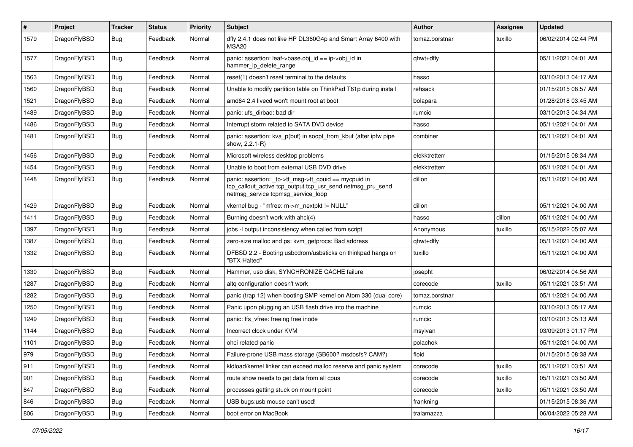| $\vert$ # | Project      | <b>Tracker</b> | <b>Status</b> | <b>Priority</b> | Subject                                                                                                                                                  | <b>Author</b>  | <b>Assignee</b> | <b>Updated</b>      |
|-----------|--------------|----------------|---------------|-----------------|----------------------------------------------------------------------------------------------------------------------------------------------------------|----------------|-----------------|---------------------|
| 1579      | DragonFlyBSD | Bug            | Feedback      | Normal          | dfly 2.4.1 does not like HP DL360G4p and Smart Array 6400 with<br>MSA <sub>20</sub>                                                                      | tomaz.borstnar | tuxillo         | 06/02/2014 02:44 PM |
| 1577      | DragonFlyBSD | Bug            | Feedback      | Normal          | panic: assertion: leaf->base.obj_id == ip->obj_id in<br>hammer_ip_delete_range                                                                           | qhwt+dfly      |                 | 05/11/2021 04:01 AM |
| 1563      | DragonFlyBSD | <b>Bug</b>     | Feedback      | Normal          | reset(1) doesn't reset terminal to the defaults                                                                                                          | hasso          |                 | 03/10/2013 04:17 AM |
| 1560      | DragonFlyBSD | <b>Bug</b>     | Feedback      | Normal          | Unable to modify partition table on ThinkPad T61p during install                                                                                         | rehsack        |                 | 01/15/2015 08:57 AM |
| 1521      | DragonFlyBSD | Bug            | Feedback      | Normal          | amd64 2.4 livecd won't mount root at boot                                                                                                                | bolapara       |                 | 01/28/2018 03:45 AM |
| 1489      | DragonFlyBSD | Bug            | Feedback      | Normal          | panic: ufs dirbad: bad dir                                                                                                                               | rumcic         |                 | 03/10/2013 04:34 AM |
| 1486      | DragonFlyBSD | <b>Bug</b>     | Feedback      | Normal          | Interrupt storm related to SATA DVD device                                                                                                               | hasso          |                 | 05/11/2021 04:01 AM |
| 1481      | DragonFlyBSD | Bug            | Feedback      | Normal          | panic: assertion: kva_p(buf) in soopt_from_kbuf (after ipfw pipe<br>show, 2.2.1-R)                                                                       | combiner       |                 | 05/11/2021 04:01 AM |
| 1456      | DragonFlyBSD | <b>Bug</b>     | Feedback      | Normal          | Microsoft wireless desktop problems                                                                                                                      | elekktretterr  |                 | 01/15/2015 08:34 AM |
| 1454      | DragonFlyBSD | <b>Bug</b>     | Feedback      | Normal          | Unable to boot from external USB DVD drive                                                                                                               | elekktretterr  |                 | 05/11/2021 04:01 AM |
| 1448      | DragonFlyBSD | <b>Bug</b>     | Feedback      | Normal          | panic: assertion: tp->tt_msg->tt_cpuid == mycpuid in<br>tcp_callout_active tcp_output tcp_usr_send netmsg_pru_send<br>netmsg_service tcpmsg_service_loop | dillon         |                 | 05/11/2021 04:00 AM |
| 1429      | DragonFlyBSD | <b>Bug</b>     | Feedback      | Normal          | vkernel bug - "mfree: m->m_nextpkt != NULL"                                                                                                              | dillon         |                 | 05/11/2021 04:00 AM |
| 1411      | DragonFlyBSD | Bug            | Feedback      | Normal          | Burning doesn't work with ahci(4)                                                                                                                        | hasso          | dillon          | 05/11/2021 04:00 AM |
| 1397      | DragonFlyBSD | <b>Bug</b>     | Feedback      | Normal          | jobs -I output inconsistency when called from script                                                                                                     | Anonymous      | tuxillo         | 05/15/2022 05:07 AM |
| 1387      | DragonFlyBSD | Bug            | Feedback      | Normal          | zero-size malloc and ps: kvm_getprocs: Bad address                                                                                                       | qhwt+dfly      |                 | 05/11/2021 04:00 AM |
| 1332      | DragonFlyBSD | <b>Bug</b>     | Feedback      | Normal          | DFBSD 2.2 - Booting usbcdrom/usbsticks on thinkpad hangs on<br>"BTX Halted"                                                                              | tuxillo        |                 | 05/11/2021 04:00 AM |
| 1330      | DragonFlyBSD | <b>Bug</b>     | Feedback      | Normal          | Hammer, usb disk, SYNCHRONIZE CACHE failure                                                                                                              | josepht        |                 | 06/02/2014 04:56 AM |
| 1287      | DragonFlyBSD | <b>Bug</b>     | Feedback      | Normal          | altg configuration doesn't work                                                                                                                          | corecode       | tuxillo         | 05/11/2021 03:51 AM |
| 1282      | DragonFlyBSD | <b>Bug</b>     | Feedback      | Normal          | panic (trap 12) when booting SMP kernel on Atom 330 (dual core)                                                                                          | tomaz.borstnar |                 | 05/11/2021 04:00 AM |
| 1250      | DragonFlyBSD | <b>Bug</b>     | Feedback      | Normal          | Panic upon plugging an USB flash drive into the machine                                                                                                  | rumcic         |                 | 03/10/2013 05:17 AM |
| 1249      | DragonFlyBSD | <b>Bug</b>     | Feedback      | Normal          | panic: ffs vfree: freeing free inode                                                                                                                     | rumcic         |                 | 03/10/2013 05:13 AM |
| 1144      | DragonFlyBSD | Bug            | Feedback      | Normal          | Incorrect clock under KVM                                                                                                                                | msylvan        |                 | 03/09/2013 01:17 PM |
| 1101      | DragonFlyBSD | <b>Bug</b>     | Feedback      | Normal          | ohci related panic                                                                                                                                       | polachok       |                 | 05/11/2021 04:00 AM |
| 979       | DragonFlyBSD | Bug            | Feedback      | Normal          | Failure-prone USB mass storage (SB600? msdosfs? CAM?)                                                                                                    | floid          |                 | 01/15/2015 08:38 AM |
| 911       | DragonFlyBSD | <b>Bug</b>     | Feedback      | Normal          | kldload/kernel linker can exceed malloc reserve and panic system                                                                                         | corecode       | tuxillo         | 05/11/2021 03:51 AM |
| 901       | DragonFlyBSD | Bug            | Feedback      | Normal          | route show needs to get data from all cpus                                                                                                               | corecode       | tuxillo         | 05/11/2021 03:50 AM |
| 847       | DragonFlyBSD | <b>Bug</b>     | Feedback      | Normal          | processes getting stuck on mount point                                                                                                                   | corecode       | tuxillo         | 05/11/2021 03:50 AM |
| 846       | DragonFlyBSD | <b>Bug</b>     | Feedback      | Normal          | USB bugs:usb mouse can't used!                                                                                                                           | frankning      |                 | 01/15/2015 08:36 AM |
| 806       | DragonFlyBSD | Bug            | Feedback      | Normal          | boot error on MacBook                                                                                                                                    | tralamazza     |                 | 06/04/2022 05:28 AM |